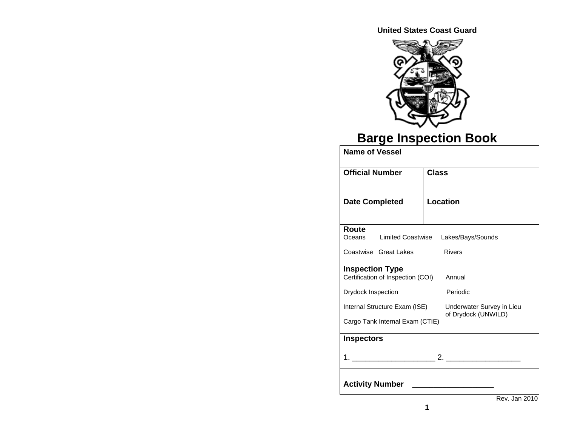**United States Coast Guard** 



# **Barge Inspection Book**

| <b>Name of Vessel</b>              |                                                  |
|------------------------------------|--------------------------------------------------|
| <b>Official Number</b>             | <b>Class</b>                                     |
| <b>Date Completed</b>              | Location                                         |
| Route                              |                                                  |
| <b>Limited Coastwise</b><br>Oceans | Lakes/Bays/Sounds                                |
| Coastwise Great Lakes              | <b>Rivers</b>                                    |
| <b>Inspection Type</b>             |                                                  |
| Certification of Inspection (COI)  | Annual                                           |
| Drydock Inspection                 | Periodic                                         |
| Internal Structure Exam (ISE)      | Underwater Survey in Lieu<br>of Drydock (UNWILD) |
| Cargo Tank Internal Exam (CTIE)    |                                                  |
| <b>Inspectors</b>                  |                                                  |
|                                    |                                                  |
| <b>Activity Number</b>             |                                                  |
|                                    | Rev. Jan 2010                                    |

**1**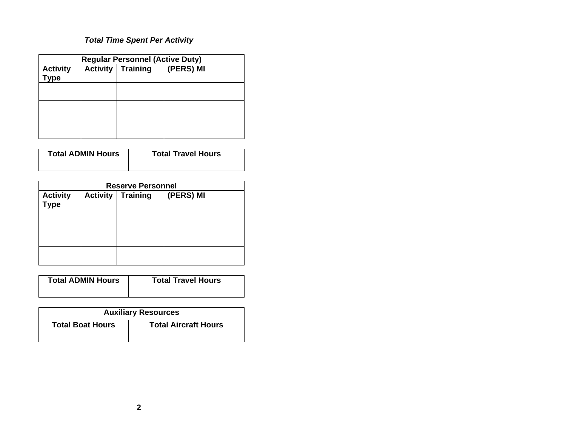# *Total Time Spent Per Activity*

| <b>Regular Personnel (Active Duty)</b> |  |                            |           |  |
|----------------------------------------|--|----------------------------|-----------|--|
| <b>Activity</b><br><b>Type</b>         |  | <b>Activity   Training</b> | (PERS) MI |  |
|                                        |  |                            |           |  |
|                                        |  |                            |           |  |
|                                        |  |                            |           |  |

| <b>Total ADMIN Hours</b> | <b>Total Travel Hours</b> |
|--------------------------|---------------------------|
|                          |                           |

| <b>Reserve Personnel</b>       |                 |                 |           |  |
|--------------------------------|-----------------|-----------------|-----------|--|
| <b>Activity</b><br><b>Type</b> | <b>Activity</b> | <b>Training</b> | (PERS) MI |  |
|                                |                 |                 |           |  |
|                                |                 |                 |           |  |
|                                |                 |                 |           |  |

| <b>Total ADMIN Hours</b> | <b>Total Travel Hours</b> |
|--------------------------|---------------------------|
|--------------------------|---------------------------|

| <b>Auxiliary Resources</b> |                             |  |  |
|----------------------------|-----------------------------|--|--|
| <b>Total Boat Hours</b>    | <b>Total Aircraft Hours</b> |  |  |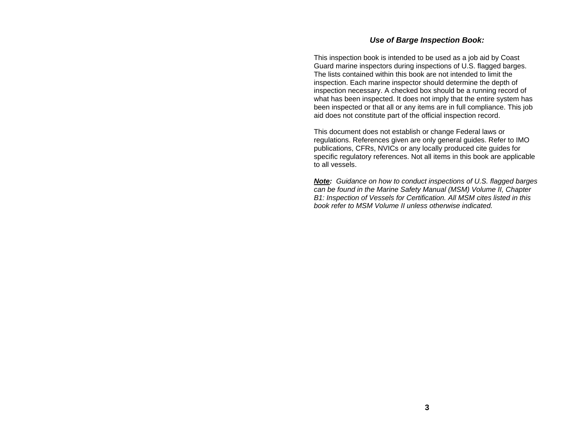#### *Use of Barge Inspection Book:*

This inspection book is intended to be used as a job aid by Coast Guard marine inspectors during inspections of U.S. flagged barges. The lists contained within this book are not intended to limit the inspection. Each marine inspector should determine the depth of inspection necessary. A checked box should be a running record of what has been inspected. It does not imply that the entire system has been inspected or that all or any items are in full compliance. This job aid does not constitute part of the official inspection record.

This document does not establish or change Federal laws or regulations. References given are only general guides. Refer to IMO publications, CFRs, NVICs or any locally produced cite guides for specific regulatory references. Not all items in this book are applicable to all vessels.

*Note: Guidance on how to conduct inspections of U.S. flagged barges can be found in the Marine Safety Manual (MSM) Volume II, Chapter B1: Inspection of Vessels for Certification. All MSM cites listed in this book refer to MSM Volume II unless otherwise indicated.*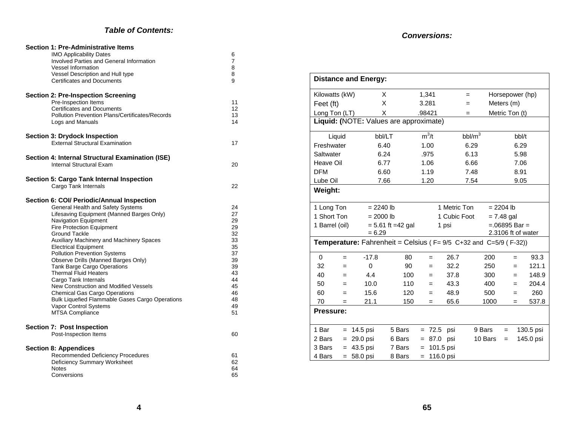#### *Table of Contents:*

| <b>Section 1: Pre-Administrative Items</b><br><b>IMO Applicability Dates</b><br>Involved Parties and General Information<br><b>Vessel Information</b> | 6<br>7<br>8 |
|-------------------------------------------------------------------------------------------------------------------------------------------------------|-------------|
| Vessel Description and Hull type<br><b>Certificates and Documents</b>                                                                                 | 8<br>9      |
| <b>Section 2: Pre-Inspection Screening</b><br>Pre-Inspection Items                                                                                    | 11          |
| <b>Certificates and Documents</b>                                                                                                                     | 12          |
| <b>Pollution Prevention Plans/Certificates/Records</b><br>Logs and Manuals                                                                            | 13<br>14    |
| <b>Section 3: Drydock Inspection</b><br><b>External Structural Examination</b>                                                                        |             |
|                                                                                                                                                       | 17          |
| Section 4: Internal Structural Examination (ISE)                                                                                                      |             |
| Internal Structural Exam                                                                                                                              | 20          |
| <b>Section 5: Cargo Tank Internal Inspection</b>                                                                                                      |             |
| Cargo Tank Internals                                                                                                                                  | 22          |
| Section 6: COI/ Periodic/Annual Inspection                                                                                                            |             |
| General Health and Safety Systems                                                                                                                     | 24          |
| Lifesaving Equipment (Manned Barges Only)                                                                                                             | 27          |
| Navigation Equipment                                                                                                                                  | 29          |
| <b>Fire Protection Equipment</b><br><b>Ground Tackle</b>                                                                                              | 29<br>32    |
| Auxiliary Machinery and Machinery Spaces                                                                                                              | 33          |
| <b>Electrical Equipment</b>                                                                                                                           | 35          |
| <b>Pollution Prevention Systems</b>                                                                                                                   | 37          |
| Observe Drills (Manned Barges Only)                                                                                                                   | 39          |
| <b>Tank Barge Cargo Operations</b>                                                                                                                    | 39          |
| <b>Thermal Fluid Heaters</b>                                                                                                                          | 43          |
| Cargo Tank Internals                                                                                                                                  | 44          |
| New Construction and Modified Vessels                                                                                                                 | 45          |
| <b>Chemical Gas Cargo Operations</b>                                                                                                                  | 46<br>48    |
| <b>Bulk Liquefied Flammable Gases Cargo Operations</b><br>Vapor Control Systems                                                                       | 49          |
| <b>MTSA Compliance</b>                                                                                                                                | 51          |
|                                                                                                                                                       |             |
| <b>Section 7: Post Inspection</b><br>Post-Inspection Items                                                                                            | 60          |
|                                                                                                                                                       |             |
| <b>Section 8: Appendices</b>                                                                                                                          |             |
| Recommended Deficiency Procedures                                                                                                                     | 61          |
| Deficiency Summary Worksheet<br><b>Notes</b>                                                                                                          | 62<br>64    |
| Conversions                                                                                                                                           | 65          |
|                                                                                                                                                       |             |

#### *Conversions:*

|                                                                                   |     | <b>Distance and Energy:</b>            |                                             |     |           |                          |           |             |     |                 |           |
|-----------------------------------------------------------------------------------|-----|----------------------------------------|---------------------------------------------|-----|-----------|--------------------------|-----------|-------------|-----|-----------------|-----------|
| Kilowatts (kW)                                                                    |     | X                                      |                                             |     | 1,341     |                          | $=$       |             |     | Horsepower (hp) |           |
| Feet (ft)                                                                         |     | X                                      |                                             |     | 3.281     |                          | $=$       | Meters (m)  |     |                 |           |
| Long Ton (LT)                                                                     |     | X                                      |                                             |     | .98421    |                          | $=$       |             |     | Metric Ton (t)  |           |
|                                                                                   |     | Liquid: (NOTE: Values are approximate) |                                             |     |           |                          |           |             |     |                 |           |
| Liquid                                                                            |     | bbl/LT                                 |                                             |     | $m^3/t$   |                          | $bbl/m^3$ |             |     | bbl/t           |           |
| Freshwater                                                                        |     | 6.40                                   |                                             |     | 1.00      |                          | 6.29      |             |     | 6.29            |           |
| Saltwater                                                                         |     | 6.24                                   |                                             |     | .975      |                          | 6.13      |             |     | 5.98            |           |
| Heave Oil                                                                         |     | 6.77                                   |                                             |     | 1.06      |                          | 6.66      |             |     | 7.06            |           |
| <b>DFM</b>                                                                        |     | 6.60                                   |                                             |     | 1.19      |                          | 7.48      |             |     | 8.91            |           |
| Lube Oil                                                                          |     | 7.66                                   |                                             |     | 1.20      |                          | 7.54      |             |     | 9.05            |           |
| Weight:                                                                           |     |                                        |                                             |     |           |                          |           |             |     |                 |           |
| 1 Long Ton                                                                        |     | $= 2240$ lb                            |                                             |     |           | 1 Metric Ton             |           | $= 2204 lb$ |     |                 |           |
| 1 Short Ton                                                                       |     |                                        | $= 2000 lb$<br>1 Cubic Foot<br>$= 7.48$ gal |     |           |                          |           |             |     |                 |           |
| 1 Barrel (oil)                                                                    |     |                                        | $= 5.61$ ft $= 42$ gal                      |     |           | $=.06895$ Bar =<br>1 psi |           |             |     |                 |           |
| 2.3106 ft of water<br>$= 6.29$                                                    |     |                                        |                                             |     |           |                          |           |             |     |                 |           |
| <b>Temperature:</b> Fahrenheit = Celsius ( $F = 9/5$ C+32 and C=5/9 ( $F = 32$ )) |     |                                        |                                             |     |           |                          |           |             |     |                 |           |
| 0                                                                                 | $=$ | $-17.8$                                | 80                                          |     | $=$       | 26.7                     |           | 200         |     | $=$             | 93.3      |
| 32                                                                                | $=$ | 0                                      | 90                                          |     | $=$       | 32.2                     |           | 250         |     | $=$             | 121.1     |
| 40                                                                                | $=$ | 4.4                                    | 100                                         |     | $=$       | 37.8                     |           | 300         |     | $=$             | 148.9     |
| 50                                                                                | $=$ | 10.0                                   | 110                                         |     | $=$       | 43.3                     |           | 400         |     | $=$             | 204.4     |
| 60                                                                                | $=$ | 15.6                                   | 120                                         |     | $=$       | 48.9                     |           | 500         |     | $=$             | 260       |
| 70                                                                                | $=$ | 21.1                                   | 150                                         |     | $=$       | 65.6                     |           | 1000        |     | $=$             | 537.8     |
| Pressure:                                                                         |     |                                        |                                             |     |           |                          |           |             |     |                 |           |
| 1 Bar                                                                             |     | $= 14.5$ psi                           | 5 Bars                                      |     | $= 72.5$  | psi                      | 9 Bars    |             | $=$ |                 | 130.5 psi |
| 2 Bars                                                                            | $=$ | 29.0 psi                               | 6 Bars                                      |     | $= 87.0$  | psi                      |           | 10 Bars     | $=$ |                 | 145.0 psi |
| 3 Bars                                                                            |     | $= 43.5$ psi                           | 7 Bars                                      | $=$ | 101.5 psi |                          |           |             |     |                 |           |
| 4 Bars                                                                            | $=$ | 58.0 psi                               | 8 Bars                                      | $=$ | 116.0 psi |                          |           |             |     |                 |           |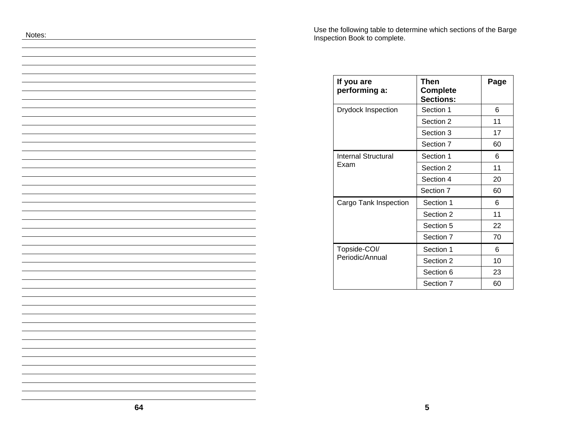Use the following table to determine which sections of the Barge Inspection Book to complete.

| If you are<br>performing a: | Then<br><b>Complete</b><br><b>Sections:</b> | Page |
|-----------------------------|---------------------------------------------|------|
| <b>Drydock Inspection</b>   | Section 1                                   | 6    |
|                             | Section 2                                   | 11   |
|                             | Section 3                                   | 17   |
|                             | Section 7                                   | 60   |
| Internal Structural         | Section 1                                   | 6    |
| Exam                        | Section 2                                   | 11   |
|                             | Section 4                                   | 20   |
|                             | Section 7                                   | 60   |
| Cargo Tank Inspection       | Section 1                                   | 6    |
|                             | Section 2                                   | 11   |
|                             | Section 5                                   | 22   |
|                             | Section 7                                   | 70   |
| Topside-COI/                | Section 1                                   | 6    |
| Periodic/Annual             | Section 2                                   | 10   |
|                             | Section 6                                   | 23   |
|                             | Section 7                                   | 60   |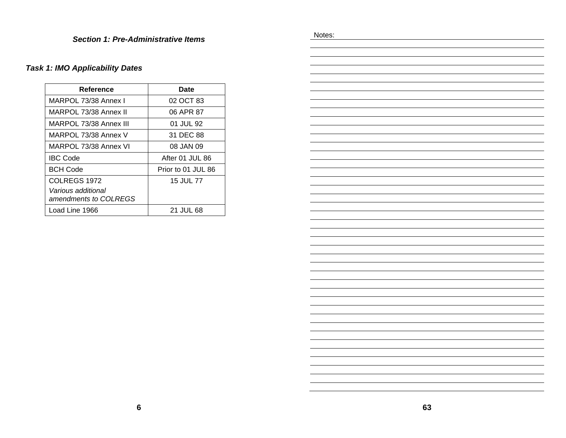# *Task 1: IMO Applicability Dates*

| Reference                                   | Date               |
|---------------------------------------------|--------------------|
| MARPOL 73/38 Annex I                        | 02 OCT 83          |
| MARPOL 73/38 Annex II                       | 06 APR 87          |
| MARPOL 73/38 Annex III                      | 01 JUL 92          |
| MARPOL 73/38 Annex V                        | 31 DEC 88          |
| MARPOL 73/38 Annex VI                       | 08 JAN 09          |
| <b>IBC Code</b>                             | After 01 JUL 86    |
| <b>BCH Code</b>                             | Prior to 01 JUL 86 |
| COLREGS 1972                                | 15 JUL 77          |
| Various additional<br>amendments to COLREGS |                    |
| Load Line 1966                              | <b>21 JUL 68</b>   |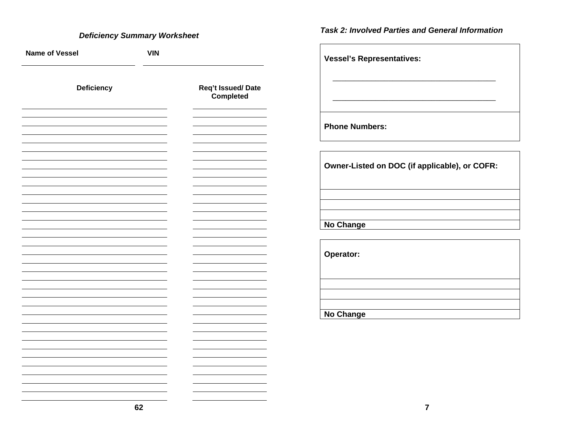### *Deficiency Summary Worksheet*

| <b>Name of Vessel</b> | <b>VIN</b> |                                |
|-----------------------|------------|--------------------------------|
| Deficiency            |            | Req't Issued/Date<br>Completed |
|                       |            |                                |
|                       |            |                                |
|                       |            |                                |
|                       |            |                                |
|                       |            |                                |
|                       |            |                                |
|                       |            |                                |
|                       |            |                                |
|                       |            |                                |
|                       |            |                                |
|                       |            |                                |
|                       |            |                                |
|                       |            |                                |
|                       |            |                                |
|                       |            |                                |
|                       |            |                                |

*Task 2: Involved Parties and General Information* 

**Vessel's Representatives:**   $\overline{\phantom{a}}$  , and the contribution of the contribution of the contribution of the contribution of the contribution of the contribution of the contribution of the contribution of the contribution of the contribution of the \_\_\_\_\_\_\_\_\_\_\_\_\_\_\_\_\_\_\_\_\_\_\_\_\_\_\_\_\_\_\_\_\_\_\_\_\_\_ **Phone Numbers:** 

**Owner-Listed on DOC (if applicable), or COFR:** 

**No Change** 

**Operator:** 

**No Change**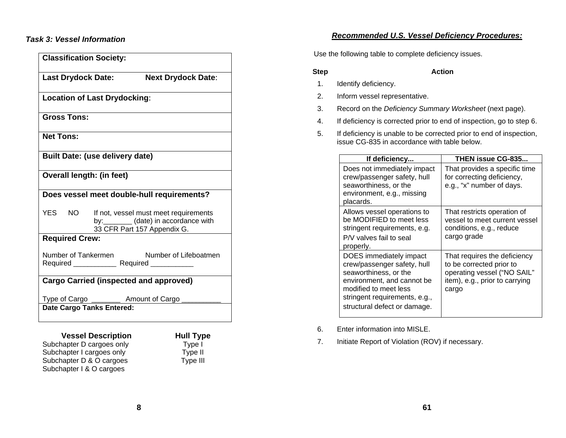### *Task 3: Vessel Information*

| <b>Classification Society:</b>                                                                                           |
|--------------------------------------------------------------------------------------------------------------------------|
| Last Drydock Date:<br><b>Next Drydock Date:</b>                                                                          |
| <b>Location of Last Drydocking:</b>                                                                                      |
| <b>Gross Tons:</b>                                                                                                       |
| <b>Net Tons:</b>                                                                                                         |
| <b>Built Date: (use delivery date)</b>                                                                                   |
| <b>Overall length: (in feet)</b>                                                                                         |
| Does vessel meet double-hull requirements?                                                                               |
| YES NO<br>If not, vessel must meet requirements<br>by: ________ (date) in accordance with<br>33 CFR Part 157 Appendix G. |
| <b>Required Crew:</b>                                                                                                    |
| Number of Tankermen Number of Lifeboatmen                                                                                |
| <b>Cargo Carried (inspected and approved)</b>                                                                            |
| Type of Cargo ___________ Amount of Cargo                                                                                |
| <b>Date Cargo Tanks Entered:</b>                                                                                         |

**Vessel Description Full Type Hull Type**<br>hapter D cargoes only Fype I Subchapter D cargoes only Type I<br>Subchapter I cargoes only Type II Subchapter I cargoes only Type II<br>Subchapter D & O cargoes Type III Subchapter D & O cargoes Subchapter I & O cargoes

**Step Action** 1. Identify deficiency.

- 2. Inform vessel representative.
- 3. Record on the *Deficiency Summary Worksheet* (next page).
- 4. If deficiency is corrected prior to end of inspection, go to step 6.

*Recommended U.S. Vessel Deficiency Procedures:*

Use the following table to complete deficiency issues.

5. If deficiency is unable to be corrected prior to end of inspection, issue CG-835 in accordance with table below.

| If deficiency                                                                                                                                                                                           | <b>THEN issue CG-835</b>                                                                                                           |
|---------------------------------------------------------------------------------------------------------------------------------------------------------------------------------------------------------|------------------------------------------------------------------------------------------------------------------------------------|
| Does not immediately impact<br>crew/passenger safety, hull<br>seaworthiness, or the<br>environment, e.g., missing<br>placards.                                                                          | That provides a specific time<br>for correcting deficiency,<br>e.g., "x" number of days.                                           |
| Allows vessel operations to<br>be MODIFIED to meet less<br>stringent requirements, e.g.<br>P/V valves fail to seal<br>properly.                                                                         | That restricts operation of<br>vessel to meet current vessel<br>conditions, e.g., reduce<br>cargo grade                            |
| DOES immediately impact<br>crew/passenger safety, hull<br>seaworthiness, or the<br>environment, and cannot be<br>modified to meet less<br>stringent requirements, e.g.,<br>structural defect or damage. | That requires the deficiency<br>to be corrected prior to<br>operating vessel ("NO SAIL"<br>item), e.g., prior to carrying<br>cargo |

6. Enter information into MISLE.

7. Initiate Report of Violation (ROV) if necessary.

### **8**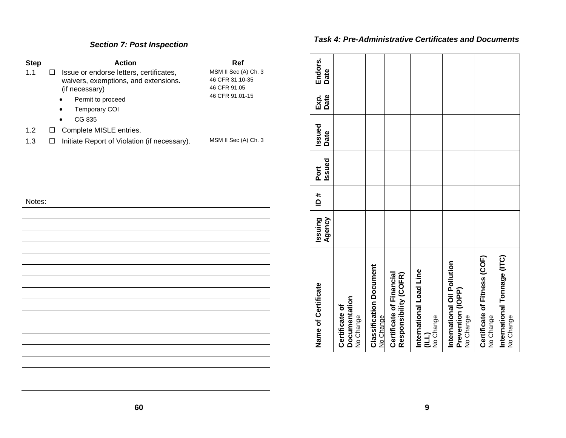### *Section 7: Post Inspection*

| <b>Step</b> | <b>Action</b>                                                                                                                                                  | Ref                                                                        |
|-------------|----------------------------------------------------------------------------------------------------------------------------------------------------------------|----------------------------------------------------------------------------|
| 1.1         | Issue or endorse letters, certificates,<br>П.<br>waivers, exemptions, and extensions.<br>(if necessary)<br>Permit to proceed<br><b>Temporary COI</b><br>CG 835 | MSM II Sec (A) Ch. 3<br>46 CFR 31.10-35<br>46 CFR 91.05<br>46 CFR 91.01-15 |
| 1.2         | Complete MISLE entries.<br>$\Box$                                                                                                                              |                                                                            |
| 1.3         | Initiate Report of Violation (if necessary).<br>□                                                                                                              | MSM II Sec (A) Ch. 3                                                       |
| Notes:      |                                                                                                                                                                |                                                                            |
|             |                                                                                                                                                                |                                                                            |
|             |                                                                                                                                                                |                                                                            |
|             |                                                                                                                                                                |                                                                            |
|             |                                                                                                                                                                |                                                                            |
|             |                                                                                                                                                                |                                                                            |
|             |                                                                                                                                                                |                                                                            |
|             |                                                                                                                                                                |                                                                            |
|             |                                                                                                                                                                |                                                                            |
|             |                                                                                                                                                                |                                                                            |
|             |                                                                                                                                                                |                                                                            |
|             |                                                                                                                                                                |                                                                            |
|             |                                                                                                                                                                |                                                                            |

#### *Task 4: Pre-Administrative Certificates and Documents*

| Name of Certificate                                           | Agency<br>Issuing | ≛ | Issued<br>Port | Issued<br>Date | Date<br>Exp. | Endors.<br>Date |
|---------------------------------------------------------------|-------------------|---|----------------|----------------|--------------|-----------------|
| Documentation<br>Certificate of<br>No Change                  |                   |   |                |                |              |                 |
| <b>Classification Document</b><br>No Change                   |                   |   |                |                |              |                 |
| Certificate of Financial<br>Responsibility (COFR)             |                   |   |                |                |              |                 |
| International Load Line<br>No Change<br>(TTI)                 |                   |   |                |                |              |                 |
| International Oil Pollution<br>Prevention (IOPP)<br>No Change |                   |   |                |                |              |                 |
| Certificate of Fitness (COF)<br>No Change                     |                   |   |                |                |              |                 |
| International Tonnage (ITC)<br>No Change                      |                   |   |                |                |              |                 |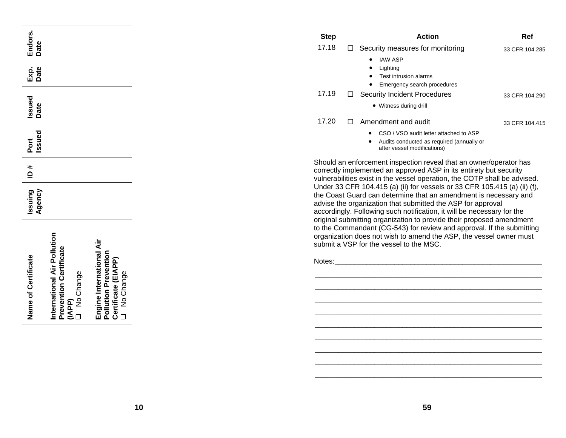| Name of Certificate                                                                           | Issuing<br>Agency | # al | Issued<br>Port<br>Port | Issued<br>Date | Exp.<br>Date | Endors.<br>Date |
|-----------------------------------------------------------------------------------------------|-------------------|------|------------------------|----------------|--------------|-----------------|
| International Air Pollution<br>Prevention Certificate<br>(IAPP)<br>I No Change                |                   |      |                        |                |              |                 |
| Engine International Air<br><b>Pollution Prevention</b><br>Certificate (EIAPP)<br>O No Change |                   |      |                        |                |              |                 |

| <b>Step</b> |    | <b>Action</b>                                                                                                                        | Ref            |
|-------------|----|--------------------------------------------------------------------------------------------------------------------------------------|----------------|
| 17.18       | ப  | Security measures for monitoring                                                                                                     | 33 CFR 104.285 |
|             |    | <b>IAW ASP</b><br>$\bullet$<br>Lighting                                                                                              |                |
|             |    | Test intrusion alarms<br>$\bullet$                                                                                                   |                |
|             |    | Emergency search procedures<br>٠                                                                                                     |                |
| 17.19       | ⊔  | Security Incident Procedures                                                                                                         | 33 CFR 104.290 |
|             |    | • Witness during drill                                                                                                               |                |
| 17.20       | П. | Amendment and audit                                                                                                                  | 33 CFR 104.415 |
|             |    | CSO / VSO audit letter attached to ASP<br>$\bullet$<br>Audits conducted as required (annually or<br>٠<br>after vessel modifications) |                |
|             |    | Should an enforcement inspection reveal that an owner/operator has                                                                   |                |

Should an enforcement inspection reveal that an owner/operator has correctly implemented an approved ASP in its entirety but security vulnerabilities exist in the vessel operation, the COTP shall be advised. Under 33 CFR 104.415 (a) (ii) for vessels or 33 CFR 105.415 (a) (ii) (f), the Coast Guard can determine that an amendment is necessary and advise the organization that submitted the ASP for approval accordingly. Following such notification, it will be necessary for the original submitting organization to provide their proposed amendment to the Commandant (CG-543) for review and approval. If the submitting organization does not wish to amend the ASP, the vessel owner must submit a VSP for the vessel to the MSC.

 \_\_\_\_\_\_\_\_\_\_\_\_\_\_\_\_\_\_\_\_\_\_\_\_\_\_\_\_\_\_\_\_\_\_\_\_\_\_\_\_\_\_\_\_\_\_\_\_\_\_\_\_\_\_\_\_\_  $\mathcal{L}_\text{max} = \mathcal{L}_\text{max} = \mathcal{L}_\text{max} = \mathcal{L}_\text{max} = \mathcal{L}_\text{max} = \mathcal{L}_\text{max} = \mathcal{L}_\text{max} = \mathcal{L}_\text{max} = \mathcal{L}_\text{max} = \mathcal{L}_\text{max} = \mathcal{L}_\text{max} = \mathcal{L}_\text{max} = \mathcal{L}_\text{max} = \mathcal{L}_\text{max} = \mathcal{L}_\text{max} = \mathcal{L}_\text{max} = \mathcal{L}_\text{max} = \mathcal{L}_\text{max} = \mathcal{$ 

 \_\_\_\_\_\_\_\_\_\_\_\_\_\_\_\_\_\_\_\_\_\_\_\_\_\_\_\_\_\_\_\_\_\_\_\_\_\_\_\_\_\_\_\_\_\_\_\_\_\_\_\_\_\_\_\_\_  $\mathcal{L}_\text{max} = \mathcal{L}_\text{max} = \mathcal{L}_\text{max} = \mathcal{L}_\text{max} = \mathcal{L}_\text{max} = \mathcal{L}_\text{max} = \mathcal{L}_\text{max} = \mathcal{L}_\text{max} = \mathcal{L}_\text{max} = \mathcal{L}_\text{max} = \mathcal{L}_\text{max} = \mathcal{L}_\text{max} = \mathcal{L}_\text{max} = \mathcal{L}_\text{max} = \mathcal{L}_\text{max} = \mathcal{L}_\text{max} = \mathcal{L}_\text{max} = \mathcal{L}_\text{max} = \mathcal{$ 

 \_\_\_\_\_\_\_\_\_\_\_\_\_\_\_\_\_\_\_\_\_\_\_\_\_\_\_\_\_\_\_\_\_\_\_\_\_\_\_\_\_\_\_\_\_\_\_\_\_\_\_\_\_\_\_\_\_  $\mathcal{L}_\text{max} = \mathcal{L}_\text{max} = \mathcal{L}_\text{max} = \mathcal{L}_\text{max} = \mathcal{L}_\text{max} = \mathcal{L}_\text{max} = \mathcal{L}_\text{max} = \mathcal{L}_\text{max} = \mathcal{L}_\text{max} = \mathcal{L}_\text{max} = \mathcal{L}_\text{max} = \mathcal{L}_\text{max} = \mathcal{L}_\text{max} = \mathcal{L}_\text{max} = \mathcal{L}_\text{max} = \mathcal{L}_\text{max} = \mathcal{L}_\text{max} = \mathcal{L}_\text{max} = \mathcal{$ 

Notes: \_\_\_\_\_\_\_\_\_\_\_\_\_\_\_\_\_\_\_\_\_\_\_\_\_\_\_\_\_\_\_\_\_\_\_\_\_\_\_\_\_\_\_\_\_\_\_\_\_\_\_\_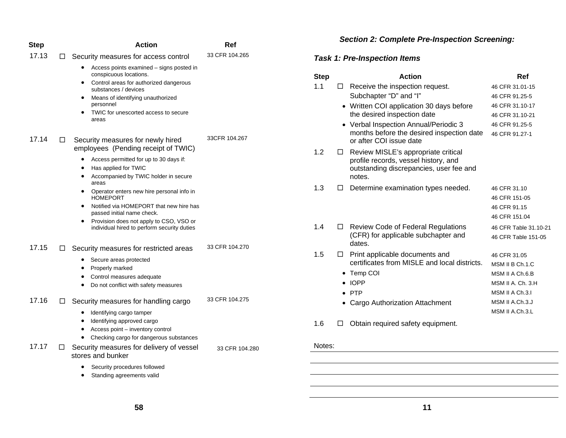| <b>Step</b> |   | Action                                                                                                                                                                                                                                  | Ref            |
|-------------|---|-----------------------------------------------------------------------------------------------------------------------------------------------------------------------------------------------------------------------------------------|----------------|
| 17.13       | □ | Security measures for access control                                                                                                                                                                                                    | 33 CFR 104.265 |
|             |   | Access points examined – signs posted in<br>conspicuous locations.<br>Control areas for authorized dangerous<br>substances / devices<br>Means of identifying unauthorized<br>personnel<br>TWIC for unescorted access to secure<br>areas |                |
| 17.14       | П | Security measures for newly hired<br>employees (Pending receipt of TWIC)                                                                                                                                                                | 33CFR 104.267  |
|             |   | Access permitted for up to 30 days if:<br>$\bullet$<br>Has applied for TWIC<br>Accompanied by TWIC holder in secure<br>$\bullet$<br>areas                                                                                               |                |
|             |   | Operator enters new hire personal info in<br>$\bullet$<br><b>HOMEPORT</b>                                                                                                                                                               |                |
|             |   | Notified via HOMEPORT that new hire has<br>passed initial name check.                                                                                                                                                                   |                |
|             |   | Provision does not apply to CSO, VSO or<br>$\bullet$<br>individual hired to perform security duties                                                                                                                                     |                |
| 17.15       | □ | Security measures for restricted areas                                                                                                                                                                                                  | 33 CFR 104.270 |
|             |   | Secure areas protected                                                                                                                                                                                                                  |                |
|             |   | Properly marked<br>Control measures adequate                                                                                                                                                                                            |                |
|             |   | Do not conflict with safety measures<br>$\bullet$                                                                                                                                                                                       |                |
| 17.16       | □ | Security measures for handling cargo                                                                                                                                                                                                    | 33 CFR 104.275 |
|             |   | Identifying cargo tamper<br>٠<br>Identifying approved cargo<br>٠<br>Access point - inventory control<br>٠<br>Checking cargo for dangerous substances                                                                                    |                |
| 17.17       | □ | Security measures for delivery of vessel<br>stores and bunker                                                                                                                                                                           | 33 CFR 104.280 |
|             |   | Security procedures followed<br>Standing agreements valid<br>٠                                                                                                                                                                          |                |

### *Section 2: Complete Pre-Inspection Screening:*

# *Task 1: Pre-Inspection Items*

| Step |   | <b>Action</b>                                                                                                                    | Ref                   |
|------|---|----------------------------------------------------------------------------------------------------------------------------------|-----------------------|
| 1.1  |   | Receive the inspection request.                                                                                                  | 46 CFR 31.01-15       |
|      |   | Subchapter "D" and "I"                                                                                                           | 46 CFR 91.25-5        |
|      |   | • Written COI application 30 days before                                                                                         | 46 CFR 31.10-17       |
|      |   | the desired inspection date                                                                                                      | 46 CFR 31.10-21       |
|      |   | • Verbal Inspection Annual/Periodic 3                                                                                            | 46 CFR 91.25-5        |
|      |   | months before the desired inspection date<br>or after COI issue date                                                             | 46 CFR 91.27-1        |
| 1.2  | ⊔ | Review MISLE's appropriate critical<br>profile records, vessel history, and<br>outstanding discrepancies, user fee and<br>notes. |                       |
| 1.3  |   | Determine examination types needed.                                                                                              | 46 CFR 31.10          |
|      |   |                                                                                                                                  | 46 CFR 151-05         |
|      |   |                                                                                                                                  | 46 CFR 91.15          |
|      |   |                                                                                                                                  | 46 CFR 151.04         |
| 1.4  | П | <b>Review Code of Federal Regulations</b>                                                                                        | 46 CFR Table 31.10-21 |
|      |   | (CFR) for applicable subchapter and<br>dates.                                                                                    | 46 CFR Table 151-05   |
| 1.5  | ⊔ | Print applicable documents and                                                                                                   | 46 CFR 31.05          |
|      |   | certificates from MISLE and local districts.                                                                                     | MSM II B Ch.1.C       |
|      |   | • Temp COI                                                                                                                       | MSM II A Ch.6.B       |
|      |   | $\bullet$ IOPP                                                                                                                   | MSM II A. Ch. 3.H     |
|      |   | $\bullet$ PTP                                                                                                                    | MSM II A Ch.3.I       |
|      |   | • Cargo Authorization Attachment                                                                                                 | MSM II A.Ch.3.J       |
|      |   |                                                                                                                                  | MSM II A.Ch.3.L       |

1.6  $\Box$  Obtain required safety equipment.

#### Notes:

**58**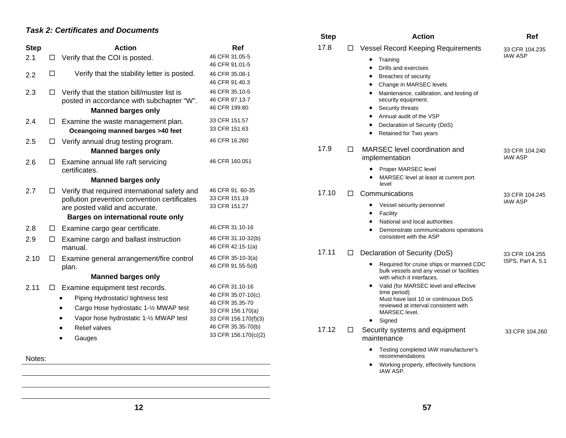#### *Task 2: Certificates and Documents*

|             | unoatoo ana Bo                                                                                                                                                                   |                                                                                                       | <b>Step</b> |        | <b>Action</b>                                                                                                                                                   | Ref                                 |
|-------------|----------------------------------------------------------------------------------------------------------------------------------------------------------------------------------|-------------------------------------------------------------------------------------------------------|-------------|--------|-----------------------------------------------------------------------------------------------------------------------------------------------------------------|-------------------------------------|
| <b>Step</b> | Action                                                                                                                                                                           | Ref                                                                                                   | 17.8        | $\Box$ | Vessel Record Keeping Requirements                                                                                                                              | 33 CFR 104.235                      |
| 2.1         | Verify that the COI is posted.<br>$\Box$                                                                                                                                         | 46 CFR 31.05-5<br>46 CFR 91.01-5                                                                      |             |        | Training<br>$\bullet$                                                                                                                                           | <b>IAW ASP</b>                      |
| 2.2         | $\Box$<br>Verify that the stability letter is posted.                                                                                                                            | 46 CFR 35.08-1<br>46 CFR 91.40.3                                                                      |             |        | Drills and exercises<br>Breaches of security<br>Change in MARSEC levels                                                                                         |                                     |
| 2.3         | Verify that the station bill/muster list is<br>$\Box$<br>posted in accordance with subchapter "W".<br><b>Manned barges only</b>                                                  | 46 CFR 35.10-5<br>46 CFR 97.13-7<br>46 CFR 199.80                                                     |             |        | Maintenance, calibration, and testing of<br>security equipment.<br>Security threats                                                                             |                                     |
| 2.4         | Examine the waste management plan.<br>$\Box$<br>Oceangoing manned barges >40 feet                                                                                                | 33 CFR 151.57<br>33 CFR 151.63                                                                        |             |        | Annual audit of the VSP<br>Declaration of Security (DoS)<br>Retained for Two years                                                                              |                                     |
| 2.5         | Verify annual drug testing program.<br>$\Box$<br><b>Manned barges only</b>                                                                                                       | 46 CFR 16.260                                                                                         | 17.9        | □      | MARSEC level coordination and                                                                                                                                   | 33 CFR 104.240                      |
| 2.6         | Examine annual life raft servicing<br>□<br>certificates.                                                                                                                         | 46 CFR 160.051                                                                                        |             |        | implementation<br>Proper MARSEC level                                                                                                                           | <b>IAW ASP</b>                      |
|             | <b>Manned barges only</b>                                                                                                                                                        |                                                                                                       |             |        | MARSEC level at least at current port<br>level                                                                                                                  |                                     |
| 2.7         | Verify that required international safety and<br>□<br>pollution prevention convention certificates                                                                               | 46 CFR 91.60-35<br>33 CFR 151.19                                                                      | 17.10       | П      | Communications                                                                                                                                                  | 33 CFR 104.245                      |
|             | are posted valid and accurate.<br>Barges on international route only                                                                                                             | 33 CFR 151.27                                                                                         |             |        | Vessel security personnel<br>Facility                                                                                                                           | <b>IAW ASP</b>                      |
| 2.8         | Examine cargo gear certificate.<br>$\Box$                                                                                                                                        | 46 CFR 31.10-16                                                                                       |             |        | National and local authorities<br>Demonstrate communications operations                                                                                         |                                     |
| 2.9         | Examine cargo and ballast instruction<br>$\Box$<br>manual.                                                                                                                       | 46 CFR 31.10-32(b)<br>46 CFR 42.15-1(a)                                                               | 17.11       |        | consistent with the ASP                                                                                                                                         |                                     |
| 2.10        | Examine general arrangement/fire control<br>$\Box$<br>plan.                                                                                                                      | 46 CFR 35-10-3(a)<br>46 CFR 91.55-5(d)                                                                |             | □      | Declaration of Security (DoS)<br>Required for cruise ships or manned CDC<br>bulk vessels and any vessel or facilities                                           | 33 CFR 104.255<br>ISPS, Part A, 5.1 |
|             | <b>Manned barges only</b>                                                                                                                                                        |                                                                                                       |             |        | with which it interfaces.                                                                                                                                       |                                     |
| 2.11        | Examine equipment test records.<br>$\Box$<br>Piping Hydrostatic/ tightness test<br>Cargo Hose hydrostatic 1-1/2 MWAP test<br>$\bullet$<br>Vapor hose hydrostatic 1-1/2 MWAP test | 46 CFR 31.10-16<br>46 CFR 35.07-10(c)<br>46 CFR 35.35-70<br>33 CFR 156.170(a)<br>33 CFR 156.170(f)(3) |             |        | Valid (for MARSEC level and effective<br>time period)<br>Must have last 10 or continuous DoS<br>reviewed at interval consistent with<br>MARSEC level.<br>Signed |                                     |
|             | Relief valves<br>Gauges                                                                                                                                                          | 46 CFR 35.35-70(b)<br>33 CFR 156.170(c((2)                                                            | 17.12       | $\Box$ | Security systems and equipment<br>maintenance                                                                                                                   | 33 CFR 104.260                      |
| Notes:      |                                                                                                                                                                                  |                                                                                                       |             |        | Testing completed IAW manufacturer's<br>٠<br>recommendations                                                                                                    |                                     |
|             |                                                                                                                                                                                  |                                                                                                       |             |        | Working properly, effectively functions<br>IAW ASP.                                                                                                             |                                     |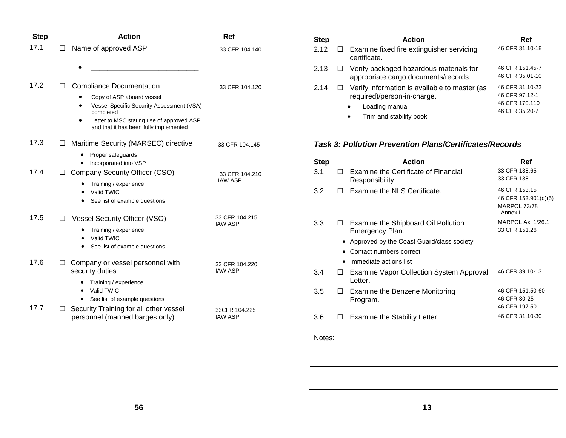| <b>Step</b> |    | <b>Action</b>                                                                                    | Ref                              |
|-------------|----|--------------------------------------------------------------------------------------------------|----------------------------------|
| 17.1        | LI | Name of approved ASP                                                                             | 33 CFR 104.140                   |
|             |    |                                                                                                  |                                  |
| 17.2        | LI | <b>Compliance Documentation</b>                                                                  | 33 CFR 104.120                   |
|             |    | Copy of ASP aboard vessel<br>Vessel Specific Security Assessment (VSA)<br>$\bullet$<br>completed |                                  |
|             |    | Letter to MSC stating use of approved ASP<br>and that it has been fully implemented              |                                  |
| 17.3        | □  | Maritime Security (MARSEC) directive                                                             | 33 CFR 104.145                   |
|             |    | Proper safeguards<br>Incorporated into VSP                                                       |                                  |
| 17.4        | ⊔  | Company Security Officer (CSO)                                                                   | 33 CFR 104.210                   |
|             |    | Training / experience<br>Valid TWIC                                                              | IAW ASP                          |
|             |    | See list of example questions                                                                    |                                  |
| 17.5        | LI | <b>Vessel Security Officer (VSO)</b>                                                             | 33 CFR 104.215<br><b>IAW ASP</b> |
|             |    | Training / experience<br>Valid TWIC                                                              |                                  |
|             |    | See list of example questions                                                                    |                                  |
| 17.6        | □  | Company or vessel personnel with<br>security duties                                              | 33 CFR 104.220<br><b>IAW ASP</b> |
|             |    | Training / experience<br>Valid TWIC<br>٠                                                         |                                  |
|             |    | See list of example questions                                                                    |                                  |
| 17.7        | □  | Security Training for all other vessel<br>personnel (manned barges only)                         | 33CFR 104.225<br><b>IAW ASP</b>  |

| <b>Step</b> | <b>Action</b>                                                                                                                                              | Ref                                                                   |
|-------------|------------------------------------------------------------------------------------------------------------------------------------------------------------|-----------------------------------------------------------------------|
| 2.12        | $\Box$ Examine fixed fire extinguisher servicing<br>certificate.                                                                                           | 46 CFR 31.10-18                                                       |
| 2.13        | $\Box$ Verify packaged hazardous materials for<br>appropriate cargo documents/records.                                                                     | 46 CFR 151.45-7<br>46 CFR 35.01-10                                    |
| 2.14        | $\Box$ Verify information is available to master (as<br>required)/person-in-charge.<br>Loading manual<br>$\bullet$<br>Trim and stability book<br>$\bullet$ | 46 CFR 31.10-22<br>46 CFR 97.12-1<br>46 CFR 170.110<br>46 CFR 35.20-7 |

#### *Task 3: Pollution Prevention Plans/Certificates/Records*

| <b>Step</b> |        | <b>Action</b>                                           | Ref                                                               |
|-------------|--------|---------------------------------------------------------|-------------------------------------------------------------------|
| 3.1         |        | Examine the Certificate of Financial<br>Responsibility. | 33 CFR 138.65<br>33 CFR 138                                       |
| 3.2         |        | Examine the NLS Certificate.                            | 46 CFR 153.15<br>46 CFR 153.901(d)(5)<br>MARPOL 73/78<br>Annex II |
| 3.3         | $\Box$ | Examine the Shipboard Oil Pollution<br>Emergency Plan.  | <b>MARPOL Ax. 1/26.1</b><br>33 CFR 151.26                         |
|             |        | • Approved by the Coast Guard/class society             |                                                                   |
|             |        | Contact numbers correct                                 |                                                                   |
|             |        | Immediate actions list                                  |                                                                   |
| 3.4         |        | Examine Vapor Collection System Approval<br>Letter.     | 46 CFR 39.10-13                                                   |
| 3.5         | Ħ      | Examine the Benzene Monitoring<br>Program.              | 46 CFR 151.50-60<br>46 CFR 30-25<br>46 CFR 197.501                |
| 3.6         |        | Examine the Stability Letter.                           | 46 CFR 31.10-30                                                   |
|             |        |                                                         |                                                                   |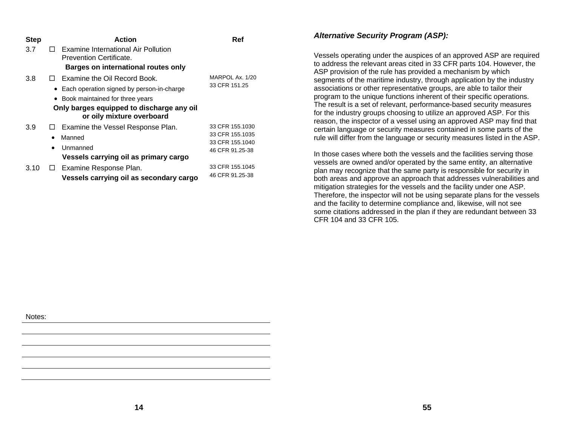| <b>Step</b> |           | Action                                                                 | Ref             |
|-------------|-----------|------------------------------------------------------------------------|-----------------|
| 3.7         |           | Examine International Air Pollution<br><b>Prevention Certificate.</b>  |                 |
|             |           | <b>Barges on international routes only</b>                             |                 |
| 3.8         |           | $\Box$ Examine the Oil Record Book.                                    | MARPOL Ax. 1/20 |
|             |           | • Each operation signed by person-in-charge                            | 33 CFR 151.25   |
|             |           | • Book maintained for three years                                      |                 |
|             |           | Only barges equipped to discharge any oil<br>or oily mixture overboard |                 |
| 3.9         | ப         | Examine the Vessel Response Plan.                                      | 33 CFR 155.1030 |
|             | $\bullet$ | Manned                                                                 | 33 CFR 155.1035 |
|             | $\bullet$ | Unmanned                                                               | 33 CFR 155.1040 |
|             |           | Vessels carrying oil as primary cargo                                  | 46 CFR 91.25-38 |
| 3.10        | ⊔         | Examine Response Plan.                                                 | 33 CFR 155.1045 |
|             |           | Vessels carrying oil as secondary cargo                                | 46 CFR 91.25-38 |

#### *Alternative Security Program (ASP):*

Vessels operating under the auspices of an approved ASP are required to address the relevant areas cited in 33 CFR parts 104. However, the ASP provision of the rule has provided a mechanism by which segments of the maritime industry, through application by the industry associations or other representative groups, are able to tailor their program to the unique functions inherent of their specific operations. The result is a set of relevant, performance-based security measures for the industry groups choosing to utilize an approved ASP. For this reason, the inspector of a vessel using an approved ASP may find that certain language or security measures contained in some parts of the rule will differ from the language or security measures listed in the ASP.

In those cases where both the vessels and the facilities serving those vessels are owned and/or operated by the same entity, an alternative plan may recognize that the same party is responsible for security in both areas and approve an approach that addresses vulnerabilities and mitigation strategies for the vessels and the facility under one ASP. Therefore, the inspector will not be using separate plans for the vessels and the facility to determine compliance and, likewise, will not see some citations addressed in the plan if they are redundant between 33 CFR 104 and 33 CFR 105.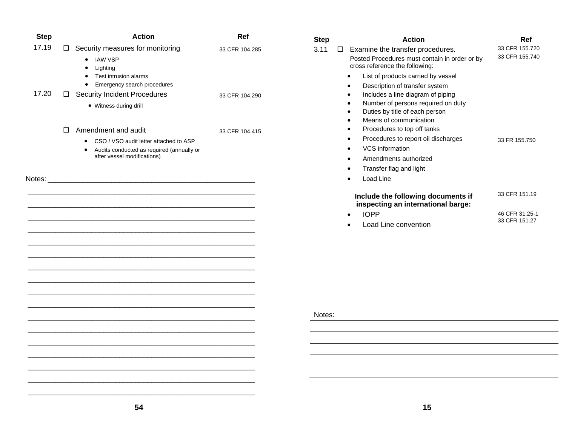| <b>Step</b> | <b>Action</b>                                                                                                                                                              | Ref            | <b>Step</b> |        | <b>Action</b>                                                                                                                                                                               | Ref                              |
|-------------|----------------------------------------------------------------------------------------------------------------------------------------------------------------------------|----------------|-------------|--------|---------------------------------------------------------------------------------------------------------------------------------------------------------------------------------------------|----------------------------------|
| 17.19       | $\Box$ Security measures for monitoring<br>• IAW VSP<br>Lighting<br>$\bullet$<br>• Test intrusion alarms<br>Emergency search procedures<br>$\bullet$                       | 33 CFR 104.285 | 3.11        | $\Box$ | Examine the transfer procedures.<br>Posted Procedures must contain in order or by<br>cross reference the following:<br>List of products carried by vessel<br>Description of transfer system | 33 CFR 155.720<br>33 CFR 155.740 |
| 17.20       | □ Security Incident Procedures<br>• Witness during drill                                                                                                                   | 33 CFR 104.290 |             |        | Includes a line diagram of piping<br>Number of persons required on duty<br>Duties by title of each person<br>Means of communication                                                         |                                  |
| Notes:      | $\Box$ Amendment and audit<br>CSO / VSO audit letter attached to ASP<br>$\bullet$<br>Audits conducted as required (annually or<br>$\bullet$<br>after vessel modifications) | 33 CFR 104.415 |             |        | Procedures to top off tanks<br>Procedures to report oil discharges<br>VCS information<br>Amendments authorized<br>Transfer flag and light<br>Load Line                                      | 33 FR 155.750                    |
|             |                                                                                                                                                                            |                |             |        | Include the following documents if<br>inspecting an international barge:                                                                                                                    | 33 CFR 151.19                    |
|             |                                                                                                                                                                            |                |             |        | <b>IOPP</b><br>Load Line convention                                                                                                                                                         | 46 CFR 31.25-1<br>33 CFR 151.27  |
|             |                                                                                                                                                                            |                | Notes:      |        |                                                                                                                                                                                             |                                  |
|             |                                                                                                                                                                            |                |             |        |                                                                                                                                                                                             |                                  |
|             |                                                                                                                                                                            |                |             |        |                                                                                                                                                                                             |                                  |
|             |                                                                                                                                                                            |                |             |        |                                                                                                                                                                                             |                                  |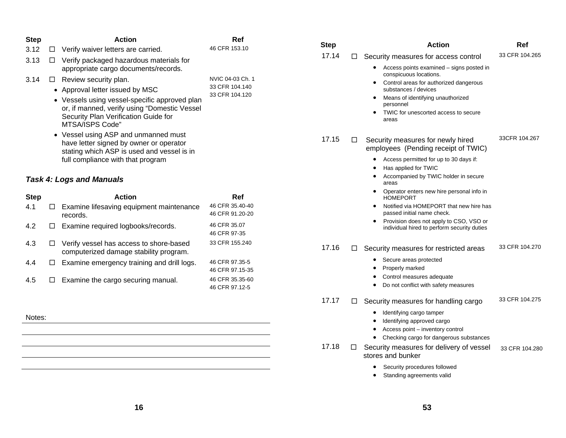| <b>Step</b> |        | <b>Action</b>                                                                                                                 | Ref                                | <b>Step</b>     | <b>Action</b>                                                                                       | <b>Ref</b>     |
|-------------|--------|-------------------------------------------------------------------------------------------------------------------------------|------------------------------------|-----------------|-----------------------------------------------------------------------------------------------------|----------------|
| 3.12        | $\Box$ | Verify waiver letters are carried.                                                                                            | 46 CFR 153.10                      | 17.14           |                                                                                                     | 33 CFR 104.265 |
| 3.13        | $\Box$ | Verify packaged hazardous materials for<br>appropriate cargo documents/records.                                               |                                    | □               | Security measures for access control<br>• Access points examined – signs posted in                  |                |
| 3.14        | $\Box$ | Review security plan.                                                                                                         | NVIC 04-03 Ch. 1                   |                 | conspicuous locations.<br>Control areas for authorized dangerous<br>٠                               |                |
|             |        | • Approval letter issued by MSC                                                                                               | 33 CFR 104.140                     |                 | substances / devices                                                                                |                |
|             |        | • Vessels using vessel-specific approved plan<br>or, if manned, verify using "Domestic Vessel                                 | 33 CFR 104.120                     |                 | Means of identifying unauthorized<br>٠<br>personnel                                                 |                |
|             |        | Security Plan Verification Guide for<br>MTSA/ISPS Code"                                                                       |                                    |                 | TWIC for unescorted access to secure<br>areas                                                       |                |
|             |        | • Vessel using ASP and unmanned must<br>have letter signed by owner or operator<br>stating which ASP is used and vessel is in |                                    | 17.15<br>□      | Security measures for newly hired<br>employees (Pending receipt of TWIC)                            | 33CFR 104.267  |
|             |        | full compliance with that program                                                                                             |                                    |                 | Access permitted for up to 30 days if:<br>٠                                                         |                |
|             |        |                                                                                                                               |                                    |                 | Has applied for TWIC                                                                                |                |
|             |        | <b>Task 4: Logs and Manuals</b>                                                                                               |                                    |                 | Accompanied by TWIC holder in secure<br>areas                                                       |                |
| <b>Step</b> |        | <b>Action</b>                                                                                                                 | <b>Ref</b>                         |                 | Operator enters new hire personal info in<br>٠<br><b>HOMEPORT</b>                                   |                |
| 4.1         | $\Box$ | Examine lifesaving equipment maintenance<br>records.                                                                          | 46 CFR 35.40-40<br>46 CFR 91.20-20 |                 | Notified via HOMEPORT that new hire has<br>٠<br>passed initial name check.                          |                |
| 4.2         | $\Box$ | Examine required logbooks/records.                                                                                            | 46 CFR 35.07<br>46 CFR 97-35       |                 | Provision does not apply to CSO, VSO or<br>$\bullet$<br>individual hired to perform security duties |                |
| 4.3         | □      | Verify vessel has access to shore-based<br>computerized damage stability program.                                             | 33 CFR 155.240                     | 17.16<br>□      | Security measures for restricted areas                                                              | 33 CFR 104.270 |
| 4.4         | ш      | Examine emergency training and drill logs.                                                                                    | 46 CFR 97.35-5<br>46 CFR 97.15-35  |                 | • Secure areas protected<br>Properly marked                                                         |                |
| 4.5         | ⊔      | Examine the cargo securing manual.                                                                                            | 46 CFR 35.35-60<br>46 CFR 97.12-5  |                 | Control measures adequate<br>Do not conflict with safety measures                                   |                |
|             |        |                                                                                                                               |                                    | 17.17<br>□      | Security measures for handling cargo                                                                | 33 CFR 104.275 |
| Notes:      |        |                                                                                                                               |                                    |                 | Identifying cargo tamper<br>$\bullet$                                                               |                |
|             |        |                                                                                                                               |                                    |                 | Identifying approved cargo<br>٠<br>Access point - inventory control<br>$\bullet$                    |                |
|             |        |                                                                                                                               |                                    |                 | Checking cargo for dangerous substances<br>$\bullet$                                                |                |
|             |        |                                                                                                                               |                                    | 17.18<br>$\Box$ | Security measures for delivery of vessel<br>stores and bunker                                       | 33 CFR 104.280 |
|             |        |                                                                                                                               |                                    |                 | Security procedures followed<br>٠<br>Standing agreements valid                                      |                |
|             |        |                                                                                                                               |                                    |                 |                                                                                                     |                |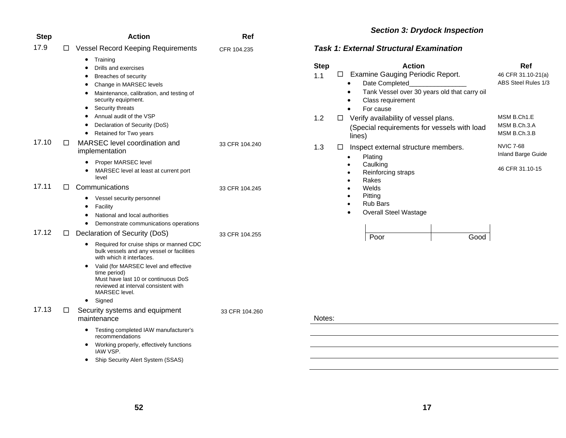| <b>Step</b> |   | <b>Action</b>                                                                                                                                                                                                                                                                                                                                            | Ref            |
|-------------|---|----------------------------------------------------------------------------------------------------------------------------------------------------------------------------------------------------------------------------------------------------------------------------------------------------------------------------------------------------------|----------------|
| 17.9        | □ | <b>Vessel Record Keeping Requirements</b>                                                                                                                                                                                                                                                                                                                | CFR 104.235    |
|             |   | $\bullet$<br>Training<br>Drills and exercises<br>$\bullet$<br>Breaches of security<br>$\bullet$<br>Change in MARSEC levels<br>$\bullet$<br>Maintenance, calibration, and testing of<br>$\bullet$<br>security equipment.<br>Security threats<br>٠<br>Annual audit of the VSP<br>Declaration of Security (DoS)<br>$\bullet$<br>Retained for Two years<br>٠ |                |
| 17.10       | □ | MARSEC level coordination and<br>implementation                                                                                                                                                                                                                                                                                                          | 33 CFR 104.240 |
|             |   | Proper MARSEC level<br>MARSEC level at least at current port<br>$\bullet$<br>level                                                                                                                                                                                                                                                                       |                |
| 17.11       | П | Communications                                                                                                                                                                                                                                                                                                                                           | 33 CFR 104.245 |
|             |   | Vessel security personnel<br>$\bullet$<br>Facility<br>$\bullet$<br>National and local authorities<br>$\bullet$<br>Demonstrate communications operations                                                                                                                                                                                                  |                |
| 17.12       | □ | Declaration of Security (DoS)                                                                                                                                                                                                                                                                                                                            | 33 CFR 104.255 |
|             |   | Required for cruise ships or manned CDC<br>$\bullet$<br>bulk vessels and any vessel or facilities<br>with which it interfaces.<br>Valid (for MARSEC level and effective<br>$\bullet$<br>time period)<br>Must have last 10 or continuous DoS<br>reviewed at interval consistent with<br>MARSEC level.                                                     |                |
|             |   | $\bullet$<br>Signed                                                                                                                                                                                                                                                                                                                                      |                |
| 17.13       | □ | Security systems and equipment<br>maintenance                                                                                                                                                                                                                                                                                                            | 33 CFR 104.260 |
|             |   | Testing completed IAW manufacturer's<br>$\bullet$<br>recommendations<br>Working properly, effectively functions<br>٠                                                                                                                                                                                                                                     |                |
|             |   | IAW VSP.                                                                                                                                                                                                                                                                                                                                                 |                |
|             |   | Ship Security Alert System (SSAS)                                                                                                                                                                                                                                                                                                                        |                |

# *Section 3: Drydock Inspection*

#### *Task 1: External Structural Examination*

| 1.1    | □ Examine Gauging Periodic Report.                                                                                                          | 46 CFR 31.10-21(a)                          |
|--------|---------------------------------------------------------------------------------------------------------------------------------------------|---------------------------------------------|
|        | Date Completed<br>Tank Vessel over 30 years old that carry oil<br>Class requirement<br>For cause                                            | ABS Steel Rules 1/3                         |
| 1.2    | Verify availability of vessel plans.<br>ப<br>(Special requirements for vessels with load<br>lines)                                          | MSM B.Ch1.E<br>MSM B.Ch.3.A<br>MSM B.Ch.3.B |
| 1.3    | Inspect external structure members.<br>$\Box$<br>Plating                                                                                    | <b>NVIC 7-68</b><br>Inland Barge Guide      |
|        | Caulking<br>Reinforcing straps<br>Rakes<br>Welds<br>Pitting<br><b>Rub Bars</b><br>$\bullet$<br><b>Overall Steel Wastage</b><br>Good<br>Poor | 46 CFR 31.10-15                             |
| Notes: |                                                                                                                                             |                                             |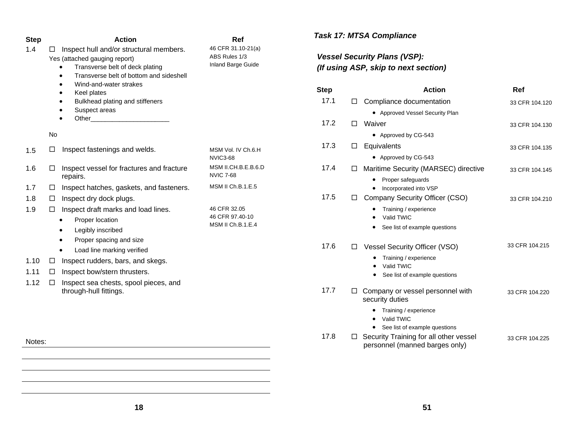| <b>Step</b> | <b>Action</b>                                                                                        | Ref<br>46 CFR 31.10-21(a)               | <b>Task 17: MTSA Compliance</b>     |        |                                                                                  |                |
|-------------|------------------------------------------------------------------------------------------------------|-----------------------------------------|-------------------------------------|--------|----------------------------------------------------------------------------------|----------------|
| 1.4         | Inspect hull and/or structural members.<br>□<br>Yes (attached gauging report)                        | ABS Rules 1/3                           | <b>Vessel Security Plans (VSP):</b> |        |                                                                                  |                |
|             | Transverse belt of deck plating<br>$\bullet$<br>Transverse belt of bottom and sideshell<br>$\bullet$ | Inland Barge Guide                      |                                     |        | (If using ASP, skip to next section)                                             |                |
|             | Wind-and-water strakes<br>$\bullet$<br>Keel plates<br>$\bullet$                                      |                                         | <b>Step</b>                         |        | <b>Action</b>                                                                    | Ref            |
|             | Bulkhead plating and stiffeners                                                                      |                                         | 17.1                                |        | $\Box$ Compliance documentation                                                  | 33 CFR 104.120 |
|             | Suspect areas<br>$\bullet$                                                                           |                                         |                                     |        | • Approved Vessel Security Plan                                                  |                |
|             | Other_                                                                                               |                                         | 17.2                                |        | □ Waiver                                                                         | 33 CFR 104.130 |
|             | No                                                                                                   |                                         |                                     |        | • Approved by CG-543                                                             |                |
| 1.5         | Inspect fastenings and welds.<br>□                                                                   | MSM Vol. IV Ch.6.H<br><b>NVIC3-68</b>   | 17.3                                |        | $\square$ Equivalents<br>• Approved by CG-543                                    | 33 CFR 104.135 |
| 1.6         | Inspect vessel for fractures and fracture<br>□<br>repairs.                                           | MSM II.CH.B.E.B.6.D<br><b>NVIC 7-68</b> | 17.4                                |        | □ Maritime Security (MARSEC) directive<br>Proper safeguards                      | 33 CFR 104.145 |
| 1.7         | Inspect hatches, gaskets, and fasteners.<br>$\Box$                                                   | MSM II Ch.B.1.E.5                       |                                     |        | Incorporated into VSP<br>$\bullet$                                               |                |
| 1.8         | Inspect dry dock plugs.<br>□                                                                         |                                         | 17.5                                |        | □ Company Security Officer (CSO)                                                 | 33 CFR 104.210 |
| 1.9         | Inspect draft marks and load lines.<br>$\Box$<br>Proper location<br>$\bullet$                        | 46 CFR 32.05<br>46 CFR 97.40-10         |                                     |        | Training / experience<br>Valid TWIC                                              |                |
|             | Legibly inscribed<br>$\bullet$                                                                       | MSM II Ch.B.1.E.4                       |                                     |        | See list of example questions<br>$\bullet$                                       |                |
|             | Proper spacing and size<br>$\bullet$<br>Load line marking verified<br>$\bullet$                      |                                         | 17.6                                | $\Box$ | Vessel Security Officer (VSO)                                                    | 33 CFR 104.215 |
| 1.10        | Inspect rudders, bars, and skegs.<br>$\Box$                                                          |                                         |                                     |        | Training / experience                                                            |                |
| 1.11        | Inspect bow/stern thrusters.<br>□                                                                    |                                         |                                     |        | Valid TWIC                                                                       |                |
| 1.12        | Inspect sea chests, spool pieces, and<br>$\Box$                                                      |                                         |                                     |        | See list of example questions                                                    |                |
|             | through-hull fittings.                                                                               |                                         | 17.7                                |        | $\Box$ Company or vessel personnel with<br>security duties                       | 33 CFR 104.220 |
|             |                                                                                                      |                                         |                                     |        | Training / experience<br>Valid TWIC<br>$\bullet$                                 |                |
|             |                                                                                                      |                                         | 17.8                                |        | • See list of example questions<br>$\Box$ Security Training for all other vessel |                |
| Notes:      |                                                                                                      |                                         |                                     |        | personnel (manned barges only)                                                   | 33 CFR 104.225 |
|             |                                                                                                      |                                         |                                     |        |                                                                                  |                |
|             |                                                                                                      |                                         |                                     |        |                                                                                  |                |
|             |                                                                                                      |                                         |                                     |        |                                                                                  |                |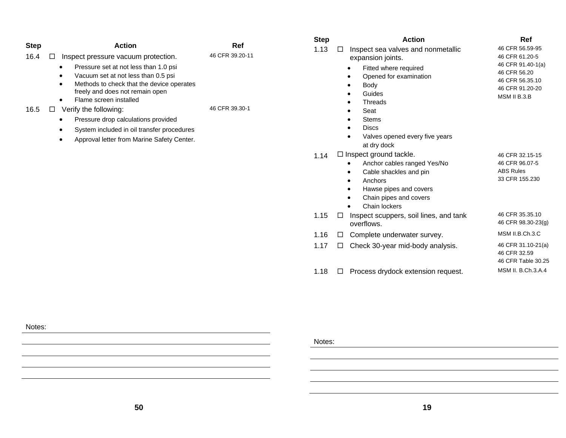|              |                                                                                                                                                                                                                                                                                                                                                                                                                                                                                     |                        | <b>Step</b> | <b>Action</b>                                                                                                                                                                                    | Ref                                                                                                       |
|--------------|-------------------------------------------------------------------------------------------------------------------------------------------------------------------------------------------------------------------------------------------------------------------------------------------------------------------------------------------------------------------------------------------------------------------------------------------------------------------------------------|------------------------|-------------|--------------------------------------------------------------------------------------------------------------------------------------------------------------------------------------------------|-----------------------------------------------------------------------------------------------------------|
| <b>Step</b>  | <b>Action</b>                                                                                                                                                                                                                                                                                                                                                                                                                                                                       | Ref<br>46 CFR 39.20-11 | 1.13        | Inspect sea valves and nonmetallic<br>$\Box$                                                                                                                                                     | 46 CFR 56.59-95                                                                                           |
| 16.4<br>16.5 | □<br>Inspect pressure vacuum protection.<br>Pressure set at not less than 1.0 psi<br>$\bullet$<br>Vacuum set at not less than 0.5 psi<br>٠<br>Methods to check that the device operates<br>$\bullet$<br>freely and does not remain open<br>Flame screen installed<br>$\bullet$<br>Verify the following:<br>$\Box$<br>Pressure drop calculations provided<br>٠<br>System included in oil transfer procedures<br>$\bullet$<br>Approval letter from Marine Safety Center.<br>$\bullet$ | 46 CFR 39.30-1         |             | expansion joints.<br>Fitted where required<br>Opened for examination<br>Body<br>Guides<br>Threads<br>Seat<br><b>Stems</b><br><b>Discs</b><br>Valves opened every five years<br>at dry dock       | 46 CFR 61.20-5<br>46 CFR 91.40-1(a)<br>46 CFR 56.20<br>46 CFR 56.35.10<br>46 CFR 91.20-20<br>MSM II B.3.B |
|              |                                                                                                                                                                                                                                                                                                                                                                                                                                                                                     |                        | 1.14        | $\Box$ Inspect ground tackle.<br>Anchor cables ranged Yes/No<br>$\bullet$<br>Cable shackles and pin<br>Anchors<br>$\bullet$<br>Hawse pipes and covers<br>Chain pipes and covers<br>Chain lockers | 46 CFR 32.15-15<br>46 CFR 96.07-5<br><b>ABS Rules</b><br>33 CFR 155.230                                   |
|              |                                                                                                                                                                                                                                                                                                                                                                                                                                                                                     |                        | 1.15        | Inspect scuppers, soil lines, and tank<br>$\Box$<br>overflows.                                                                                                                                   | 46 CFR 35.35.10<br>46 CFR 98.30-23(g)                                                                     |
|              |                                                                                                                                                                                                                                                                                                                                                                                                                                                                                     |                        | 1.16        | Complete underwater survey.<br>$\Box$                                                                                                                                                            | MSM II.B.Ch.3.C                                                                                           |
|              |                                                                                                                                                                                                                                                                                                                                                                                                                                                                                     |                        | 1.17        | Check 30-year mid-body analysis.<br>$\Box$                                                                                                                                                       | 46 CFR 31.10-21(a)<br>46 CFR 32.59<br>46 CFR Table 30.25                                                  |
|              |                                                                                                                                                                                                                                                                                                                                                                                                                                                                                     |                        | 1.18        | Process drydock extension request.<br>□                                                                                                                                                          | MSM II. B.Ch.3.A.4                                                                                        |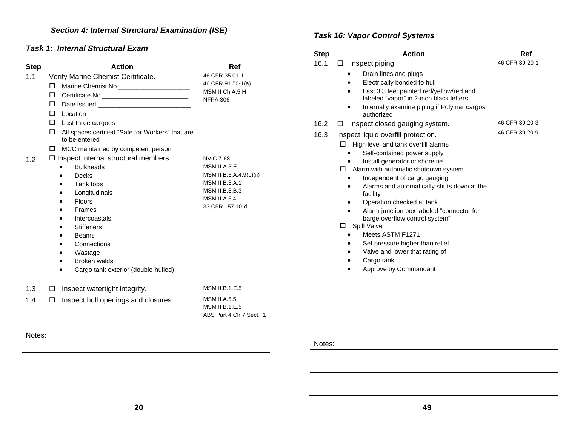# *Section 4: Internal Structural Examination (ISE)*

#### *Task 1: Internal Structural Exam*

Notes:

| <b>Step</b> | <b>Action</b>                                                          | Ref                                                                     |
|-------------|------------------------------------------------------------------------|-------------------------------------------------------------------------|
| 1.1         | Verify Marine Chemist Certificate.                                     | 46 CFR 35.01-1                                                          |
|             | Marine Chemist No. ________________________<br>□                       | 46 CFR 91.50-1(a)                                                       |
|             | □                                                                      | MSM II Ch.A.5.H<br><b>NFPA 306</b>                                      |
|             | □                                                                      |                                                                         |
|             | Location _______________________<br>п                                  |                                                                         |
|             | □                                                                      |                                                                         |
|             | All spaces certified "Safe for Workers" that are<br>□<br>to be entered |                                                                         |
|             | MCC maintained by competent person<br>п                                |                                                                         |
| 1.2         | $\Box$ Inspect internal structural members.                            | <b>NVIC 7-68</b>                                                        |
|             | <b>Bulkheads</b>                                                       | MSM II A.5.E                                                            |
|             | Decks<br>$\bullet$                                                     | MSM II B.3.A.4.9(b)(ii)                                                 |
|             | Tank tops                                                              | <b>MSM II B.3.A.1</b>                                                   |
|             | Longitudinals                                                          | <b>MSM II.B.3.B.3</b><br><b>MSM II A.5.4</b>                            |
|             | <b>Floors</b>                                                          | 33 CFR 157.10-d                                                         |
|             | Frames                                                                 |                                                                         |
|             | Intercoastals<br><b>Stiffeners</b>                                     |                                                                         |
|             | <b>Beams</b>                                                           |                                                                         |
|             | Connections                                                            |                                                                         |
|             | Wastage                                                                |                                                                         |
|             | Broken welds                                                           |                                                                         |
|             | Cargo tank exterior (double-hulled)                                    |                                                                         |
|             |                                                                        |                                                                         |
| 1.3         | Inspect watertight integrity.<br>□                                     | <b>MSM II B.1.E.5</b>                                                   |
| 1.4         | Inspect hull openings and closures.<br>П                               | <b>MSM II.A.5.5</b><br><b>MSM II B.1.E.5</b><br>ABS Part 4 Ch.7 Sect. 1 |
|             |                                                                        |                                                                         |

### *Task 16: Vapor Control Systems*

| <b>Step</b> | <b>Action</b>                                                                       | Ref            |
|-------------|-------------------------------------------------------------------------------------|----------------|
| 16.1        | Inspect piping.<br>П                                                                | 46 CFR 39-20-1 |
|             | Drain lines and plugs                                                               |                |
|             | Electrically bonded to hull                                                         |                |
|             | Last 3.3 feet painted red/yellow/red and<br>labeled "vapor" in 2-inch black letters |                |
|             | Internally examine piping if Polymar cargos<br>authorized                           |                |
| 16.2        | Inspect closed gauging system.<br>⊔                                                 | 46 CFR 39.20-3 |
| 16.3        | Inspect liquid overfill protection.                                                 | 46 CFR 39.20-9 |
|             | High level and tank overfill alarms<br>□                                            |                |
|             | Self-contained power supply                                                         |                |
|             | Install generator or shore tie                                                      |                |
|             | □<br>Alarm with automatic shutdown system                                           |                |
|             | Independent of cargo gauging                                                        |                |
|             | Alarms and automatically shuts down at the<br>facility                              |                |
|             | Operation checked at tank                                                           |                |
|             | Alarm junction box labeled "connector for                                           |                |
|             | barge overflow control system"                                                      |                |
|             | Spill Valve<br>□                                                                    |                |
|             | Meets ASTM F1271                                                                    |                |
|             | Set pressure higher than relief                                                     |                |
|             | Valve and lower that rating of                                                      |                |
|             | Cargo tank                                                                          |                |
|             | Approve by Commandant                                                               |                |
|             |                                                                                     |                |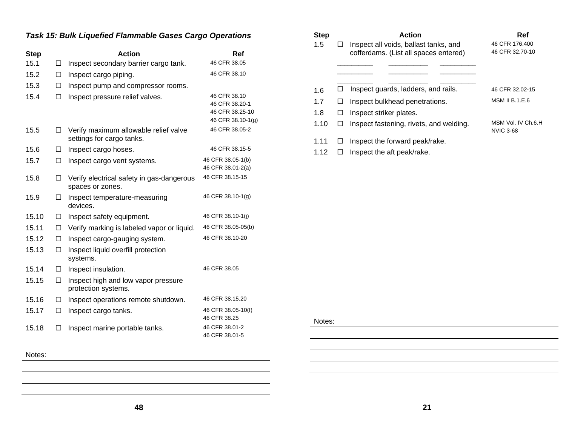### *Task 15: Bulk Liquefied Flammable Gases Cargo Operations*

| <b>Step</b> |        | <b>Action</b>                                                      | Ref                                                                    |
|-------------|--------|--------------------------------------------------------------------|------------------------------------------------------------------------|
| 15.1        | П      | Inspect secondary barrier cargo tank.                              | 46 CFR 38.05                                                           |
| 15.2        | $\Box$ | Inspect cargo piping.                                              | 46 CFR 38.10                                                           |
| 15.3        | п      | Inspect pump and compressor rooms.                                 |                                                                        |
| 15.4        | П      | Inspect pressure relief valves.                                    | 46 CFR 38.10<br>46 CFR 38.20-1<br>46 CFR 38.25-10<br>46 CFR 38.10-1(g) |
| 15.5        | п      | Verify maximum allowable relief valve<br>settings for cargo tanks. | 46 CFR 38.05-2                                                         |
| 15.6        | □      | Inspect cargo hoses.                                               | 46 CFR 38.15-5                                                         |
| 15.7        | □      | Inspect cargo vent systems.                                        | 46 CFR 38.05-1(b)<br>46 CFR 38.01-2(a)                                 |
| 15.8        | □      | Verify electrical safety in gas-dangerous<br>spaces or zones.      | 46 CFR 38.15-15                                                        |
| 15.9        | □      | Inspect temperature-measuring<br>devices.                          | 46 CFR 38.10-1(g)                                                      |
| 15.10       | □      | Inspect safety equipment.                                          | 46 CFR 38.10-1(j)                                                      |
| 15.11       | □      | Verify marking is labeled vapor or liquid.                         | 46 CFR 38.05-05(b)                                                     |
| 15.12       | □      | Inspect cargo-gauging system.                                      | 46 CFR 38.10-20                                                        |
| 15.13       | □      | Inspect liquid overfill protection<br>systems.                     |                                                                        |
| 15.14       | □      | Inspect insulation.                                                | 46 CFR 38.05                                                           |
| 15.15       | П      | Inspect high and low vapor pressure<br>protection systems.         |                                                                        |
| 15.16       | П      | Inspect operations remote shutdown.                                | 46 CFR 38.15.20                                                        |
| 15.17       | П      | Inspect cargo tanks.                                               | 46 CFR 38.05-10(f)<br>46 CFR 38.25                                     |
| 15.18       |        | Inspect marine portable tanks.                                     | 46 CFR 38.01-2<br>46 CFR 38.01-5                                       |

### Step **Action** Action Ref 1.5  $\Box$  Inspect all voids, ballast tanks, and cofferdams. (List all spaces entered) \_\_\_\_\_\_\_\_\_\_ \_\_\_\_\_\_\_\_\_\_\_ \_\_\_\_\_\_\_\_\_\_  $\mathcal{L}=\{1,2,3,4,5\}$  , we can assume that the contribution of  $\mathcal{L}=\{1,2,3,4,5\}$ 46 CFR 176.400 46 CFR 32.70-10  $1.6$   $\Box$  Inspect guards, ladders, and rails. 46 CFR 32.02-15 1.7  $\Box$  Inspect bulkhead penetrations. MSM II B.1.E.6 1.8  $\Box$  Inspect striker plates. 1.10  $\Box$  Inspect fastening, rivets, and welding. MSM Vol. IV Ch.6.H NVIC 3-68 1.11  $\Box$  Inspect the forward peak/rake.

1.12  $\Box$  Inspect the aft peak/rake.

Notes: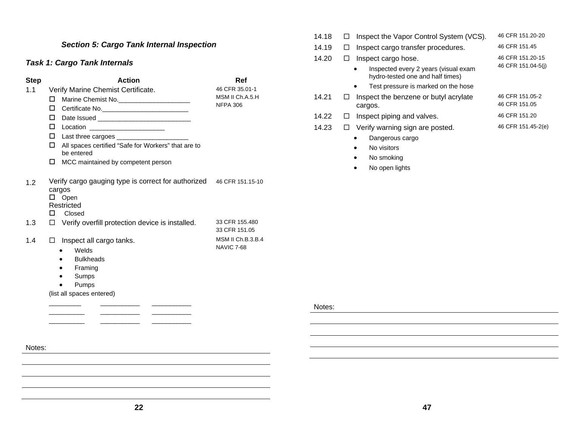### *Section 5: Cargo Tank Internal Inspection*

### *Task 1: Cargo Tank Internals*

| Verify Marine Chemist Certificate.<br>Marine Chemist No.<br>Certificate No. ______________________________<br>Location _______________________<br>Last three cargoes ________________________<br>All spaces certified "Safe for Workers" that are to<br>be entered | 46 CFR 35.01-1<br>MSM II Ch.A.5.H<br><b>NFPA 306</b>     |
|--------------------------------------------------------------------------------------------------------------------------------------------------------------------------------------------------------------------------------------------------------------------|----------------------------------------------------------|
|                                                                                                                                                                                                                                                                    |                                                          |
|                                                                                                                                                                                                                                                                    |                                                          |
|                                                                                                                                                                                                                                                                    |                                                          |
|                                                                                                                                                                                                                                                                    |                                                          |
|                                                                                                                                                                                                                                                                    |                                                          |
|                                                                                                                                                                                                                                                                    |                                                          |
|                                                                                                                                                                                                                                                                    |                                                          |
| MCC maintained by competent person                                                                                                                                                                                                                                 |                                                          |
| Verify cargo gauging type is correct for authorized 46 CFR 151.15-10<br>cargos<br>$\square$ Open<br>Restricted<br>Closed                                                                                                                                           |                                                          |
| Verify overfill protection device is installed.                                                                                                                                                                                                                    | 33 CFR 155.480<br>33 CFR 151.05                          |
| Inspect all cargo tanks.<br>Welds<br>$\bullet$<br><b>Bulkheads</b><br>Framing<br>$\bullet$                                                                                                                                                                         | <b>MSM II Ch.B.3.B.4</b><br><b>NAVIC 7-68</b>            |
|                                                                                                                                                                                                                                                                    | Sumps<br>$\bullet$<br>Pumps<br>(list all spaces entered) |

| 14.18 | Inspect the Vapor Control System (VCS).                                  | 46 CFR 151.20-20                 |
|-------|--------------------------------------------------------------------------|----------------------------------|
| 14.19 | Inspect cargo transfer procedures.                                       | 46 CFR 151.45                    |
| 14.20 | Inspect cargo hose.                                                      | 46 CFR 151.20-15                 |
|       | Inspected every 2 years (visual exam<br>hydro-tested one and half times) | 46 CFR 151.04-5(i)               |
|       | Test pressure is marked on the hose<br>$\bullet$                         |                                  |
| 14.21 | Inspect the benzene or butyl acrylate<br>cargos.                         | 46 CFR 151.05-2<br>46 CFR 151.05 |
| 14.22 | Inspect piping and valves.                                               | 46 CFR 151.20                    |
| 14.23 | Verify warning sign are posted.                                          | 46 CFR 151.45-2(e)               |
|       | Dangerous cargo                                                          |                                  |

- •No visitors
- •No smoking
- •No open lights

Notes:

Notes:

 $-$ 

 $\overline{\phantom{a}}$  ,  $\overline{\phantom{a}}$  ,  $\overline{\phantom{a}}$  ,  $\overline{\phantom{a}}$  ,  $\overline{\phantom{a}}$  ,  $\overline{\phantom{a}}$  ,  $\overline{\phantom{a}}$  ,  $\overline{\phantom{a}}$  ,  $\overline{\phantom{a}}$  ,  $\overline{\phantom{a}}$  ,  $\overline{\phantom{a}}$  ,  $\overline{\phantom{a}}$  ,  $\overline{\phantom{a}}$  ,  $\overline{\phantom{a}}$  ,  $\overline{\phantom{a}}$  ,  $\overline{\phantom{a}}$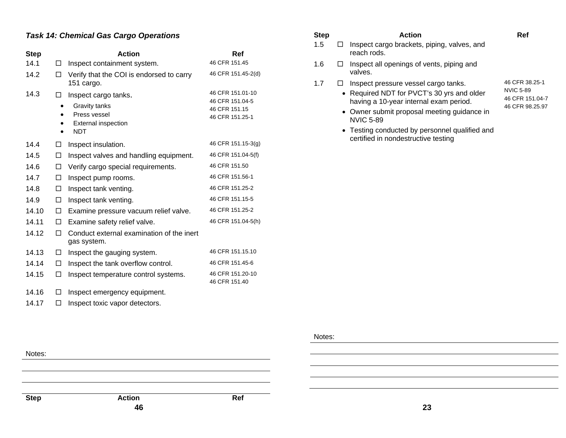### *Task 14: Chemical Gas Cargo Operations*

| <b>Step</b> |   | <b>Action</b>                                                                                     | Ref                                                                     |
|-------------|---|---------------------------------------------------------------------------------------------------|-------------------------------------------------------------------------|
| 14.1        | П | Inspect containment system.                                                                       | 46 CFR 151.45                                                           |
| 14.2        | □ | Verify that the COI is endorsed to carry<br>151 cargo.                                            | 46 CFR 151.45-2(d)                                                      |
| 14.3        | П | Inspect cargo tanks.<br>Gravity tanks<br>Press vessel<br><b>External inspection</b><br><b>NDT</b> | 46 CFR 151.01-10<br>46 CFR 151.04-5<br>46 CFR 151.15<br>46 CFR 151.25-1 |
| 14.4        | □ | Inspect insulation.                                                                               | 46 CFR 151.15-3(g)                                                      |
| 14.5        | □ | Inspect valves and handling equipment.                                                            | 46 CFR 151.04-5(f)                                                      |
| 14.6        | □ | Verify cargo special requirements.                                                                | 46 CFR 151.50                                                           |
| 14.7        | □ | Inspect pump rooms.                                                                               | 46 CFR 151.56-1                                                         |
| 14.8        | □ | Inspect tank venting.                                                                             | 46 CFR 151.25-2                                                         |
| 14.9        | □ | Inspect tank venting.                                                                             | 46 CFR 151.15-5                                                         |
| 14.10       | □ | Examine pressure vacuum relief valve.                                                             | 46 CFR 151.25-2                                                         |
| 14.11       | П | Examine safety relief valve.                                                                      | 46 CFR 151.04-5(h)                                                      |
| 14.12       | п | Conduct external examination of the inert<br>gas system.                                          |                                                                         |
| 14.13       | □ | Inspect the gauging system.                                                                       | 46 CFR 151.15.10                                                        |
| 14.14       | □ | Inspect the tank overflow control.                                                                | 46 CFR 151.45-6                                                         |
| 14.15       | □ | Inspect temperature control systems.                                                              | 46 CFR 151.20-10<br>46 CFR 151.40                                       |
| 14.16       | П | Inspect emergency equipment.                                                                      |                                                                         |
| 14.17       | П | Inspect toxic vapor detectors.                                                                    |                                                                         |

| <b>Step</b> | <b>Action</b>                                                                                                                                                                                   | Ref                                                                      |
|-------------|-------------------------------------------------------------------------------------------------------------------------------------------------------------------------------------------------|--------------------------------------------------------------------------|
| 1.5         | Inspect cargo brackets, piping, valves, and<br>reach rods.                                                                                                                                      |                                                                          |
| 1.6         | Inspect all openings of vents, piping and<br>valves.                                                                                                                                            |                                                                          |
| 1.7         | Inspect pressure vessel cargo tanks.<br>• Required NDT for PVCT's 30 yrs and older<br>having a 10-year internal exam period.<br>• Owner submit proposal meeting quidance in<br><b>NVIC 5-89</b> | 46 CFR 38.25-1<br><b>NVIC 5-89</b><br>46 CFR 151.04-7<br>46 CFR 98.25.97 |

• Testing conducted by personnel qualified and

certified in nondestructive testing

#### Notes:

**46** Notes: **Step Action Ref 23**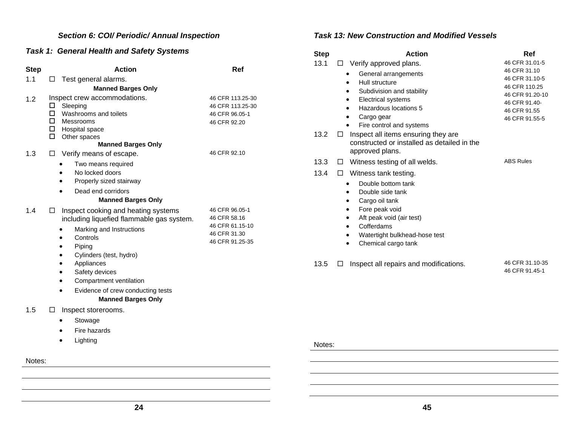### *Section 6: COI/ Periodic/ Annual Inspection*

### *Task 1: General Health and Safety Systems*

| <b>Step</b> | <b>Action</b>                                                                                                                                                                                                                                                                                                          | Ref                                                                                    |
|-------------|------------------------------------------------------------------------------------------------------------------------------------------------------------------------------------------------------------------------------------------------------------------------------------------------------------------------|----------------------------------------------------------------------------------------|
| 1.1         | Test general alarms.<br>$\Box$                                                                                                                                                                                                                                                                                         |                                                                                        |
|             | <b>Manned Barges Only</b>                                                                                                                                                                                                                                                                                              |                                                                                        |
| 1.2<br>1.3  | Inspect crew accommodations.<br>Sleeping<br>□<br>Washrooms and toilets<br>□<br>□<br>Messrooms<br>Hospital space<br>□<br>Other spaces<br><b>Manned Barges Only</b><br>Verify means of escape.<br>□                                                                                                                      | 46 CFR 113.25-30<br>46 CFR 113.25-30<br>46 CFR 96.05-1<br>46 CFR 92.20<br>46 CFR 92.10 |
|             | Two means required<br>No locked doors<br>Properly sized stairway<br>Dead end corridors<br>$\bullet$<br><b>Manned Barges Only</b>                                                                                                                                                                                       |                                                                                        |
| 1.4         | Inspect cooking and heating systems<br>□<br>including liquefied flammable gas system.<br>Marking and Instructions<br>Controls<br>Piping<br>Cylinders (test, hydro)<br>٠<br>Appliances<br>٠<br>Safety devices<br>Compartment ventilation<br>$\bullet$<br>Evidence of crew conducting tests<br><b>Manned Barges Only</b> | 46 CFR 96.05-1<br>46 CFR 58.16<br>46 CFR 61.15-10<br>46 CFR 31.30<br>46 CFR 91.25-35   |
| 1.5         | $\Box$<br>Inspect storerooms.<br>Stowage<br>Fire hazards<br>Lighting<br>٠                                                                                                                                                                                                                                              |                                                                                        |
| Notes:      |                                                                                                                                                                                                                                                                                                                        |                                                                                        |

#### *Task 13: New Construction and Modified Vessels*

| <b>Step</b>            | Action                                                                                                                                                                                                                                      | Ref                                                                                                                                     |
|------------------------|---------------------------------------------------------------------------------------------------------------------------------------------------------------------------------------------------------------------------------------------|-----------------------------------------------------------------------------------------------------------------------------------------|
| 13.1<br>⊔              | Verify approved plans.<br>General arrangements<br>Hull structure<br>Subdivision and stability<br>Electrical systems<br>Hazardous locations 5<br>Cargo gear<br>Fire control and systems                                                      | 46 CFR 31.01-5<br>46 CFR 31.10<br>46 CFR 31.10-5<br>46 CFR 110.25<br>46 CFR 91.20-10<br>46 CFR 91.40-<br>46 CFR 91.55<br>46 CFR 91.55-5 |
| 13.2<br>□              | Inspect all items ensuring they are<br>constructed or installed as detailed in the<br>approved plans.                                                                                                                                       |                                                                                                                                         |
| 13.3<br>ப<br>13.4<br>⊔ | Witness testing of all welds.<br>Witness tank testing.<br>Double bottom tank<br>Double side tank<br>Cargo oil tank<br>Fore peak void<br>Aft peak void (air test)<br>Cofferdams<br>٠<br>Watertight bulkhead-hose test<br>Chemical cargo tank | <b>ABS Rules</b>                                                                                                                        |

13.5 □ Inspect all repairs and modifications. 46 CFR 31.10-35

46 CFR 91.45-1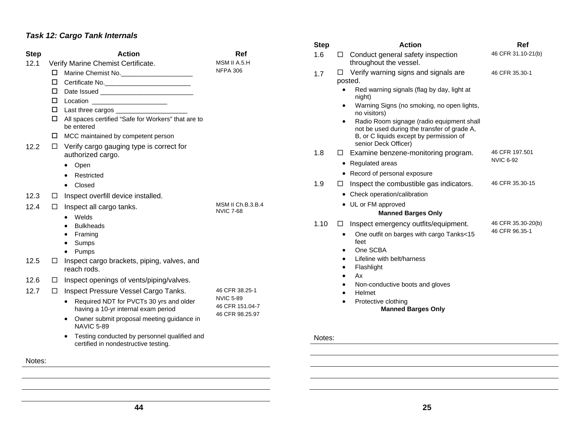# *Task 12: Cargo Tank Internals*

|                     |                                                                                      |                                       | <b>Step</b> |           | Action                                                                                   | Ref                |
|---------------------|--------------------------------------------------------------------------------------|---------------------------------------|-------------|-----------|------------------------------------------------------------------------------------------|--------------------|
| <b>Step</b><br>12.1 | <b>Action</b><br>Verify Marine Chemist Certificate.                                  | Ref<br>MSM II A.5.H                   | 1.6         | □         | Conduct general safety inspection<br>throughout the vessel.                              | 46 CFR 31.10-21(b) |
|                     | Marine Chemist No.<br>$\Box$                                                         | <b>NFPA 306</b>                       | 1.7         | $\Box$    | Verify warning signs and signals are                                                     | 46 CFR 35.30-1     |
|                     | □<br>Certificate No.                                                                 |                                       |             |           | posted.                                                                                  |                    |
|                     | □                                                                                    |                                       |             |           | Red warning signals (flag by day, light at                                               |                    |
|                     | □<br>Location ________________________                                               |                                       |             | $\bullet$ | night)<br>Warning Signs (no smoking, no open lights,                                     |                    |
|                     | □                                                                                    |                                       |             |           | no visitors)                                                                             |                    |
|                     | All spaces certified "Safe for Workers" that are to<br>□<br>be entered               |                                       |             |           | Radio Room signage (radio equipment shall<br>not be used during the transfer of grade A, |                    |
|                     | MCC maintained by competent person                                                   |                                       |             |           | B, or C liquids except by permission of                                                  |                    |
| 12.2                | Verify cargo gauging type is correct for<br>$\Box$                                   |                                       |             |           | senior Deck Officer)                                                                     | 46 CFR 197.501     |
|                     | authorized cargo.                                                                    |                                       | 1.8         | $\Box$    | Examine benzene-monitoring program.                                                      | <b>NVIC 6-92</b>   |
|                     | Open<br>$\bullet$                                                                    |                                       |             |           | • Regulated areas                                                                        |                    |
|                     | Restricted                                                                           |                                       |             |           | • Record of personal exposure                                                            |                    |
|                     | Closed                                                                               |                                       | 1.9         | ப         | Inspect the combustible gas indicators.                                                  | 46 CFR 35.30-15    |
| 12.3                | Inspect overfill device installed.<br>□                                              |                                       |             |           | • Check operation/calibration                                                            |                    |
| 12.4                | Inspect all cargo tanks.<br>□                                                        | MSM II Ch.B.3.B.4<br><b>NVIC 7-68</b> |             |           | • UL or FM approved<br><b>Manned Barges Only</b>                                         |                    |
|                     | Welds<br><b>Bulkheads</b>                                                            |                                       | 1.10        | $\Box$    | Inspect emergency outfits/equipment.                                                     | 46 CFR 35.30-20(b) |
|                     | Framing                                                                              |                                       |             | $\bullet$ | One outfit on barges with cargo Tanks<15                                                 | 46 CFR 96.35-1     |
|                     | Sumps<br>$\bullet$                                                                   |                                       |             |           | feet                                                                                     |                    |
|                     | • Pumps                                                                              |                                       |             |           | One SCBA                                                                                 |                    |
| 12.5                | Inspect cargo brackets, piping, valves, and<br>□<br>reach rods.                      |                                       |             |           | Lifeline with belt/harness<br>Flashlight                                                 |                    |
| 12.6                | Inspect openings of vents/piping/valves.<br>$\Box$                                   |                                       |             |           | Аx                                                                                       |                    |
| 12.7                | Inspect Pressure Vessel Cargo Tanks.<br>$\Box$                                       | 46 CFR 38.25-1                        |             |           | Non-conductive boots and gloves<br>Helmet                                                |                    |
|                     | • Required NDT for PVCTs 30 yrs and older<br>having a 10-yr internal exam period     | <b>NVIC 5-89</b><br>46 CFR 151.04-7   |             |           | Protective clothing<br><b>Manned Barges Only</b>                                         |                    |
|                     | Owner submit proposal meeting guidance in<br>$\bullet$<br><b>NAVIC 5-89</b>          | 46 CFR 98.25.97                       |             |           |                                                                                          |                    |
|                     | Testing conducted by personnel qualified and<br>certified in nondestructive testing. |                                       | Notes:      |           |                                                                                          |                    |
| Notes:              |                                                                                      |                                       |             |           |                                                                                          |                    |
|                     |                                                                                      |                                       |             |           |                                                                                          |                    |
|                     |                                                                                      |                                       |             |           |                                                                                          |                    |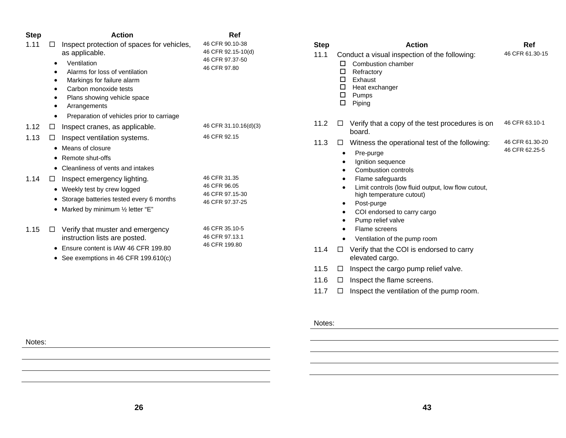| <b>Step</b> | <b>Action</b>                                    | Ref                   |
|-------------|--------------------------------------------------|-----------------------|
| 1.11        | Inspect protection of spaces for vehicles,<br>ΙI | 46 CFR 90.10-38       |
|             | as applicable.                                   | 46 CFR 92.15-10(d)    |
|             | Ventilation                                      | 46 CFR 97.37-50       |
|             | Alarms for loss of ventilation                   | 46 CFR 97.80          |
|             | Markings for failure alarm                       |                       |
|             | Carbon monoxide tests                            |                       |
|             | Plans showing vehicle space                      |                       |
|             | Arrangements                                     |                       |
|             | Preparation of vehicles prior to carriage        |                       |
| 1.12        | Inspect cranes, as applicable.<br>□              | 46 CFR 31.10.16(d)(3) |
| 1.13        | Inspect ventilation systems.<br>□                | 46 CFR 92.15          |
|             | Means of closure<br>$\bullet$                    |                       |
|             | Remote shut-offs                                 |                       |
|             | Cleanliness of vents and intakes<br>$\bullet$    |                       |
| 1.14        | Inspect emergency lighting.<br>□                 | 46 CFR 31.35          |
|             | • Weekly test by crew logged                     | 46 CFR 96.05          |
|             | Storage batteries tested every 6 months<br>٠     | 46 CFR 97.15-30       |
|             | Marked by minimum 1/2 letter "E"                 | 46 CFR 97.37-25       |
|             |                                                  |                       |
| 1.15        | Verify that muster and emergency<br>$\Box$       | 46 CFR 35.10-5        |
|             | instruction lists are posted.                    | 46 CFR 97.13.1        |
|             | Ensure content is IAW 46 CFR 199.80              | 46 CFR 199.80         |
|             | See exemptions in 46 CFR 199.610(c)              |                       |
|             |                                                  |                       |
|             |                                                  |                       |

| <b>Step</b> |                   | <b>Action</b>                                                                                                                                   | Ref             |
|-------------|-------------------|-------------------------------------------------------------------------------------------------------------------------------------------------|-----------------|
| 11.1        | п<br>□<br>П.<br>□ | Conduct a visual inspection of the following:<br>Combustion chamber<br>Refractory<br>Exhaust<br>$\Box$ Heat exchanger<br>$\Box$ Pumps<br>Piping | 46 CFR 61.30-15 |
| 11.2        | □                 | Verify that a copy of the test procedures is on<br>board.                                                                                       | 46 CFR 63.10-1  |
| 11.3        | LI                | Witness the operational test of the following:                                                                                                  | 46 CFR 61.30-20 |
|             |                   | Pre-purge                                                                                                                                       | 46 CFR 62.25-5  |
|             |                   | Ignition sequence<br>Combustion controls                                                                                                        |                 |
|             |                   | Flame safeguards                                                                                                                                |                 |
|             | $\bullet$         | Limit controls (low fluid output, low flow cutout,<br>high temperature cutout)                                                                  |                 |
|             | $\bullet$         | Post-purge                                                                                                                                      |                 |
|             | ٠<br>$\bullet$    | COI endorsed to carry cargo<br>Pump relief valve                                                                                                |                 |
|             |                   | Flame screens                                                                                                                                   |                 |
|             |                   | Ventilation of the pump room                                                                                                                    |                 |
| 11.4        | П                 | Verify that the COI is endorsed to carry<br>elevated cargo.                                                                                     |                 |
| 11.5        | □                 | Inspect the cargo pump relief valve.                                                                                                            |                 |
| 11.6        | □                 | Inspect the flame screens.                                                                                                                      |                 |
| 11.7        | П                 | Inspect the ventilation of the pump room.                                                                                                       |                 |

#### **26**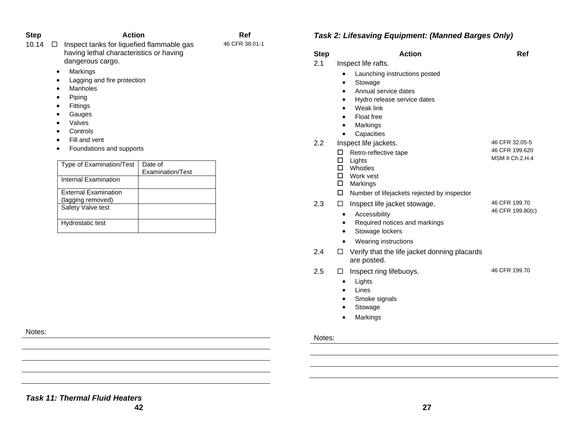| Step  | <b>Action</b>                                                                                            | Ref            |  |
|-------|----------------------------------------------------------------------------------------------------------|----------------|--|
| 10.14 | Inspect tanks for liquefied flammable gas<br>having lethal characteristics or having<br>dangerous cargo. | 46 CFR 38.01-1 |  |
|       | Markings<br>$\bullet$                                                                                    |                |  |
|       | Lagging and fire protection<br>٠                                                                         |                |  |
|       | <b>Manholes</b><br>$\bullet$                                                                             |                |  |
|       | Piping<br>٠                                                                                              |                |  |
|       | <b>Fittings</b><br>٠                                                                                     |                |  |
|       | Gauges<br>$\bullet$                                                                                      |                |  |
|       | Valves<br>٠                                                                                              |                |  |
|       |                                                                                                          |                |  |

- •Controls
- •Fill and vent
- Foundations and supports

| Type of Examination/Test    | Date of          |
|-----------------------------|------------------|
|                             | Examination/Test |
| Internal Examination        |                  |
| <b>External Examination</b> |                  |
| (lagging removed)           |                  |
| Safety Valve test           |                  |
| Hydrostatic test            |                  |

### *Task 2: Lifesaving Equipment: (Manned Barges Only)*

| 2.1<br>Inspect life rafts.<br>Launching instructions posted<br>Stowage<br>Annual service dates<br>Hydro release service dates<br>Weak link<br>Float free<br>Markings<br>Capacities<br>46 CFR 32.05-5<br>Inspect life jackets.<br>2.2<br>Retro-reflective tape<br>□<br>□<br>Lights<br>Whistles<br>п<br>$\Box$ Work vest<br>$\square$ Markings<br>Number of lifejackets rejected by inspector<br>2.3<br>Inspect life jacket stowage.<br>□<br>Accessibility<br>$\bullet$<br>Required notices and markings<br>٠<br>Stowage lockers<br>٠<br>Wearing instructions<br>٠<br>2.4<br>Verify that the life jacket donning placards<br>⊔<br>are posted.<br>2.5<br>Inspect ring lifebuoys.<br>□<br>Lights<br>٠<br>Lines<br>$\bullet$<br>Smoke signals<br>$\bullet$<br>Stowage | <b>Step</b> | <b>Action</b> | Ref                    |
|------------------------------------------------------------------------------------------------------------------------------------------------------------------------------------------------------------------------------------------------------------------------------------------------------------------------------------------------------------------------------------------------------------------------------------------------------------------------------------------------------------------------------------------------------------------------------------------------------------------------------------------------------------------------------------------------------------------------------------------------------------------|-------------|---------------|------------------------|
|                                                                                                                                                                                                                                                                                                                                                                                                                                                                                                                                                                                                                                                                                                                                                                  |             |               |                        |
|                                                                                                                                                                                                                                                                                                                                                                                                                                                                                                                                                                                                                                                                                                                                                                  |             |               |                        |
|                                                                                                                                                                                                                                                                                                                                                                                                                                                                                                                                                                                                                                                                                                                                                                  |             |               |                        |
|                                                                                                                                                                                                                                                                                                                                                                                                                                                                                                                                                                                                                                                                                                                                                                  |             |               |                        |
|                                                                                                                                                                                                                                                                                                                                                                                                                                                                                                                                                                                                                                                                                                                                                                  |             |               |                        |
|                                                                                                                                                                                                                                                                                                                                                                                                                                                                                                                                                                                                                                                                                                                                                                  |             |               |                        |
|                                                                                                                                                                                                                                                                                                                                                                                                                                                                                                                                                                                                                                                                                                                                                                  |             |               |                        |
|                                                                                                                                                                                                                                                                                                                                                                                                                                                                                                                                                                                                                                                                                                                                                                  |             |               |                        |
|                                                                                                                                                                                                                                                                                                                                                                                                                                                                                                                                                                                                                                                                                                                                                                  |             |               |                        |
|                                                                                                                                                                                                                                                                                                                                                                                                                                                                                                                                                                                                                                                                                                                                                                  |             |               | 46 CFR 199.620         |
|                                                                                                                                                                                                                                                                                                                                                                                                                                                                                                                                                                                                                                                                                                                                                                  |             |               | <b>MSM II Ch.2.H.4</b> |
|                                                                                                                                                                                                                                                                                                                                                                                                                                                                                                                                                                                                                                                                                                                                                                  |             |               |                        |
|                                                                                                                                                                                                                                                                                                                                                                                                                                                                                                                                                                                                                                                                                                                                                                  |             |               |                        |
|                                                                                                                                                                                                                                                                                                                                                                                                                                                                                                                                                                                                                                                                                                                                                                  |             |               |                        |
|                                                                                                                                                                                                                                                                                                                                                                                                                                                                                                                                                                                                                                                                                                                                                                  |             |               |                        |
|                                                                                                                                                                                                                                                                                                                                                                                                                                                                                                                                                                                                                                                                                                                                                                  |             |               | 46 CFR 199.70          |
|                                                                                                                                                                                                                                                                                                                                                                                                                                                                                                                                                                                                                                                                                                                                                                  |             |               | 46 CFR 199.80(c)       |
|                                                                                                                                                                                                                                                                                                                                                                                                                                                                                                                                                                                                                                                                                                                                                                  |             |               |                        |
|                                                                                                                                                                                                                                                                                                                                                                                                                                                                                                                                                                                                                                                                                                                                                                  |             |               |                        |
|                                                                                                                                                                                                                                                                                                                                                                                                                                                                                                                                                                                                                                                                                                                                                                  |             |               |                        |
|                                                                                                                                                                                                                                                                                                                                                                                                                                                                                                                                                                                                                                                                                                                                                                  |             |               |                        |
|                                                                                                                                                                                                                                                                                                                                                                                                                                                                                                                                                                                                                                                                                                                                                                  |             |               |                        |
|                                                                                                                                                                                                                                                                                                                                                                                                                                                                                                                                                                                                                                                                                                                                                                  |             |               | 46 CFR 199.70          |
|                                                                                                                                                                                                                                                                                                                                                                                                                                                                                                                                                                                                                                                                                                                                                                  |             |               |                        |
|                                                                                                                                                                                                                                                                                                                                                                                                                                                                                                                                                                                                                                                                                                                                                                  |             |               |                        |
|                                                                                                                                                                                                                                                                                                                                                                                                                                                                                                                                                                                                                                                                                                                                                                  |             |               |                        |
|                                                                                                                                                                                                                                                                                                                                                                                                                                                                                                                                                                                                                                                                                                                                                                  |             |               |                        |
|                                                                                                                                                                                                                                                                                                                                                                                                                                                                                                                                                                                                                                                                                                                                                                  |             | Markings<br>٠ |                        |
|                                                                                                                                                                                                                                                                                                                                                                                                                                                                                                                                                                                                                                                                                                                                                                  |             |               |                        |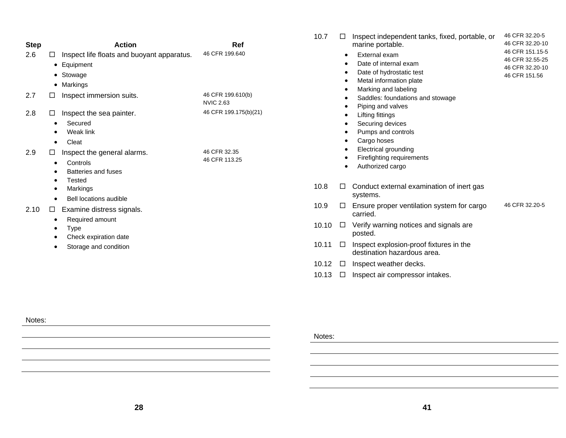| <b>Step</b> | <b>Action</b>                                                                                  | Ref                                   | 10.7  | $\Box$ | Inspect independent tanks, fixed, portable, or<br>marine portable.                                                    | 46 CFR 32.20-5<br>46 CFR 32.20-10                                      |
|-------------|------------------------------------------------------------------------------------------------|---------------------------------------|-------|--------|-----------------------------------------------------------------------------------------------------------------------|------------------------------------------------------------------------|
| 2.6         | Inspect life floats and buoyant apparatus.<br>$\Box$<br>• Equipment<br>• Stowage<br>• Markings | 46 CFR 199.640                        |       |        | External exam<br>Date of internal exam<br>Date of hydrostatic test<br>Metal information plate<br>Marking and labeling | 46 CFR 151.15-5<br>46 CFR 32.55-25<br>46 CFR 32.20-10<br>46 CFR 151.56 |
| 2.7         | Inspect immersion suits.<br>□                                                                  | 46 CFR 199.610(b)<br><b>NVIC 2.63</b> |       |        | Saddles: foundations and stowage                                                                                      |                                                                        |
| 2.8         | Inspect the sea painter.<br>$\Box$<br>Secured<br>Weak link<br>Cleat<br>٠                       | 46 CFR 199.175(b)(21)                 |       |        | Piping and valves<br>Lifting fittings<br>Securing devices<br>Pumps and controls<br>Cargo hoses                        |                                                                        |
| 2.9         | Inspect the general alarms.<br>$\Box$<br>Controls<br>٠<br><b>Batteries and fuses</b><br>Tested | 46 CFR 32.35<br>46 CFR 113.25         |       |        | Electrical grounding<br>Firefighting requirements<br>Authorized cargo                                                 |                                                                        |
|             | Markings<br>Bell locations audible                                                             |                                       | 10.8  | □      | Conduct external examination of inert gas<br>systems.                                                                 |                                                                        |
| 2.10        | Examine distress signals.<br>□                                                                 |                                       | 10.9  | □      | Ensure proper ventilation system for cargo<br>carried.                                                                | 46 CFR 32.20-5                                                         |
|             | Required amount<br>Type<br>Check expiration date                                               |                                       | 10.10 | $\Box$ | Verify warning notices and signals are<br>posted.                                                                     |                                                                        |
|             | Storage and condition                                                                          |                                       | 10.11 | $\Box$ | Inspect explosion-proof fixtures in the<br>destination hazardous area.                                                |                                                                        |
|             |                                                                                                |                                       | 10.12 | $\Box$ | Inspect weather decks.                                                                                                |                                                                        |
|             |                                                                                                |                                       | 10.13 | □      | Inspect air compressor intakes.                                                                                       |                                                                        |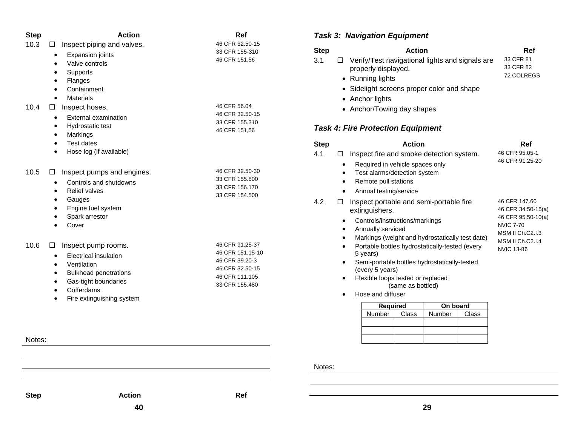| <b>Step</b> | <b>Action</b>                             | Ref                               |
|-------------|-------------------------------------------|-----------------------------------|
| 10.3        | Inspect piping and valves.<br>□           | 46 CFR 32.50-15                   |
|             | <b>Expansion joints</b><br>٠              | 33 CFR 155-310<br>46 CFR 151.56   |
|             | Valve controls                            |                                   |
|             | Supports                                  |                                   |
|             | Flanges<br>Containment                    |                                   |
|             | <b>Materials</b>                          |                                   |
| 10.4        | Inspect hoses.<br>⊔                       | 46 CFR 56.04                      |
|             | External examination<br>$\bullet$         | 46 CFR 32.50-15                   |
|             | Hydrostatic test<br>$\bullet$             | 33 CFR 155.310                    |
|             | Markings<br>$\bullet$                     | 46 CFR 151,56                     |
|             | Test dates<br>$\bullet$                   |                                   |
|             | Hose log (if available)<br>$\bullet$      |                                   |
| 10.5        | Inspect pumps and engines.<br>⊔           | 46 CFR 32.50-30                   |
|             | Controls and shutdowns<br>$\bullet$       | 33 CFR 155,800                    |
|             | <b>Relief valves</b><br>$\bullet$         | 33 CFR 156.170<br>33 CFR 154.500  |
|             | Gauges<br>$\bullet$                       |                                   |
|             | Engine fuel system<br>٠                   |                                   |
|             | Spark arrestor<br>$\bullet$               |                                   |
|             | Cover                                     |                                   |
| 10.6        | Inspect pump rooms.                       | 46 CFR 91.25-37                   |
|             | <b>Electrical insulation</b><br>$\bullet$ | 46 CFR 151.15-10                  |
|             | Ventilation<br>$\bullet$                  | 46 CFR 39.20-3<br>46 CFR 32.50-15 |
|             | <b>Bulkhead penetrations</b><br>$\bullet$ | 46 CFR 111.105                    |
|             | Gas-tight boundaries<br>$\bullet$         | 33 CFR 155.480                    |
|             | Cofferdams<br>$\bullet$                   |                                   |
|             | Fire extinguishing system<br>$\bullet$    |                                   |
|             |                                           |                                   |
|             |                                           |                                   |
|             |                                           |                                   |

### *Task 3: Navigation Equipment*

| <b>Step</b> | <b>Action</b>                                          | Ref        |
|-------------|--------------------------------------------------------|------------|
| 3.1         | $\Box$ Verify/Test navigational lights and signals are | 33 CFR 81  |
|             | properly displayed.                                    | 33 CFR 82  |
|             | • Running lights                                       | 72 COLREGS |

- Sidelight screens proper color and shape
- Anchor lights
- Anchor/Towing day shapes

### *Task 4: Fire Protection Equipment*

| <b>Step</b> | <b>Action</b>                                                                                                                                                                                                                                                                                                                                                               | Ref                                                                                                                                                      |  |  |
|-------------|-----------------------------------------------------------------------------------------------------------------------------------------------------------------------------------------------------------------------------------------------------------------------------------------------------------------------------------------------------------------------------|----------------------------------------------------------------------------------------------------------------------------------------------------------|--|--|
| 4.1         | Inspect fire and smoke detection system.<br>$\mathsf{L}$                                                                                                                                                                                                                                                                                                                    | 46 CFR 95.05-1                                                                                                                                           |  |  |
|             | Required in vehicle spaces only<br>Test alarms/detection system<br>Remote pull stations<br>Annual testing/service<br>$\bullet$                                                                                                                                                                                                                                              | 46 CFR 91.25-20                                                                                                                                          |  |  |
| 4.2         | Inspect portable and semi-portable fire<br>extinguishers.<br>Controls/instructions/markings<br>Annually serviced<br>Markings (weight and hydrostatically test date)<br>Portable bottles hydrostatically-tested (every<br>5 years)<br>Semi-portable bottles hydrostatically-tested<br>$\bullet$<br>(every 5 years)<br>Flexible loops tested or replaced<br>(same as bottled) | 46 CFR 147.60<br>46 CFR 34.50-15(a)<br>46 CFR 95.50-10(a)<br><b>NVIC 7-70</b><br><b>MSM II Ch.C2.I.3</b><br><b>MSM II Ch.C2.I.4</b><br><b>NVIC 13-86</b> |  |  |

• Hose and diffuser

| <b>Required</b> |       | On board |       |  |
|-----------------|-------|----------|-------|--|
| Number          | Class | Number   | Class |  |
|                 |       |          |       |  |
|                 |       |          |       |  |
|                 |       |          |       |  |

Notes:

Step **Action** Action Ref

Notes:

**40**

**29**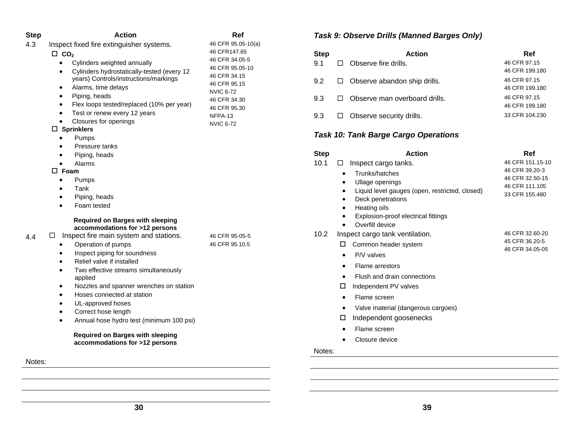| <b>Step</b> | <b>Action</b>                                                  | Ref                          | Task 9:     |
|-------------|----------------------------------------------------------------|------------------------------|-------------|
| 4.3         | 46 CFR 95.05-10(a)<br>Inspect fixed fire extinguisher systems. |                              |             |
|             | $\Box$ CO <sub>2</sub>                                         | 46 CFR147.65                 | <b>Step</b> |
|             | Cylinders weighted annually<br>$\bullet$                       | 46 CFR 34.05-5               | 9.1<br>□    |
|             | Cylinders hydrostatically-tested (every 12<br>٠                | 46 CFR 95.05-10              |             |
|             | years) Controls/instructions/markings                          | 46 CFR 34.15                 | 9.2<br>□    |
|             | Alarms, time delays<br>$\bullet$                               | 46 CFR 95.15                 |             |
|             | Piping, heads<br>$\bullet$                                     | <b>NVIC 6-72</b>             | 9.3<br>□    |
|             | Flex loops tested/replaced (10% per year)<br>$\bullet$         | 46 CFR 34.30<br>46 CFR 95.30 |             |
|             | Test or renew every 12 years<br>$\bullet$                      | NFPA-13                      | 9.3<br>□    |
|             | Closures for openings<br>$\bullet$                             | <b>NVIC 6-72</b>             |             |
|             | $\Box$ Sprinklers                                              |                              |             |
|             | Pumps<br>$\bullet$                                             |                              | Task 10:    |
|             | Pressure tanks                                                 |                              |             |
|             | Piping, heads                                                  |                              | <b>Step</b> |
|             | Alarms<br>$\bullet$                                            |                              | 10.1<br>□   |
|             | $\Box$ Foam                                                    |                              |             |
|             | Pumps<br>٠                                                     |                              |             |
|             | Tank<br>$\bullet$                                              |                              |             |
|             | Piping, heads<br>$\bullet$                                     |                              |             |
|             | Foam tested                                                    |                              |             |
|             | <b>Required on Barges with sleeping</b>                        |                              |             |
|             | accommodations for >12 persons                                 |                              |             |
| 4.4         | Inspect fire main system and stations.<br>□                    | 46 CFR 95-05-5               | 10.2<br>Ins |
|             | Operation of pumps<br>٠                                        | 46 CFR 95.10.5               | ⊏           |
|             | Inspect piping for soundness<br>$\bullet$                      |                              |             |
|             | Relief valve if installed<br>$\bullet$                         |                              |             |
|             | Two effective streams simultaneously<br>$\bullet$              |                              |             |
|             | applied                                                        |                              |             |
|             | Nozzles and spanner wrenches on station<br>$\bullet$           |                              |             |
|             | Hoses connected at station<br>$\bullet$                        |                              |             |
|             | UL-approved hoses                                              |                              |             |
|             | Correct hose length<br>$\bullet$                               |                              |             |
|             | Annual hose hydro test (minimum 100 psi)<br>$\bullet$          |                              | ⊏           |
|             | <b>Required on Barges with sleeping</b>                        |                              |             |
|             | accommodations for >12 persons                                 |                              |             |
|             |                                                                |                              | Notes:      |
| Notes:      |                                                                |                              |             |

# **Observe Drills (Manned Barges Only)**

| <b>Action</b>                 | Ref                                                         |
|-------------------------------|-------------------------------------------------------------|
|                               | 46 CFR 97.15                                                |
|                               | 46 CFR 199.180                                              |
|                               | 46 CFR 97.15                                                |
|                               | 46 CFR 199.180                                              |
| Observe man overboard drills. | 46 CFR 97.15                                                |
|                               | 46 CFR 199.180                                              |
| Observe security drills.      | 33 CFR 104.230                                              |
|                               | Observe fire drills.<br>$\Box$ Observe abandon ship drills. |

# **Tank Barge Cargo Operations**

| <b>Step</b> | <b>Action</b>                                                                                                                                                              | Ref                                                                                       |
|-------------|----------------------------------------------------------------------------------------------------------------------------------------------------------------------------|-------------------------------------------------------------------------------------------|
| 10.1        | Inspect cargo tanks.<br>Trunks/hatches<br>Ullage openings<br>Liquid level gauges (open, restricted, closed)<br>Deck penetrations<br>Heating oils                           | 46 CFR 151.15-10<br>46 CFR 39.20-3<br>46 CFR 32.50-15<br>46 CFR 111.105<br>33 CFR 155.480 |
|             | Explosion-proof electrical fittings<br>Overfill device                                                                                                                     |                                                                                           |
| 10.2        | Inspect cargo tank ventilation.<br>Common header system<br>ш<br>P/V valves<br>Flame arrestors<br>Flush and drain connections<br>Independent PV valves<br>ш<br>Flame screen | 46 CFR 32.60-20<br>45 CFR 36.20-5<br>46 CFR 34.05-05                                      |
|             | Valve material (dangerous cargoes)                                                                                                                                         |                                                                                           |
|             | Independent goosenecks<br>ш                                                                                                                                                |                                                                                           |
|             | Flame screen                                                                                                                                                               |                                                                                           |
|             | Closure device                                                                                                                                                             |                                                                                           |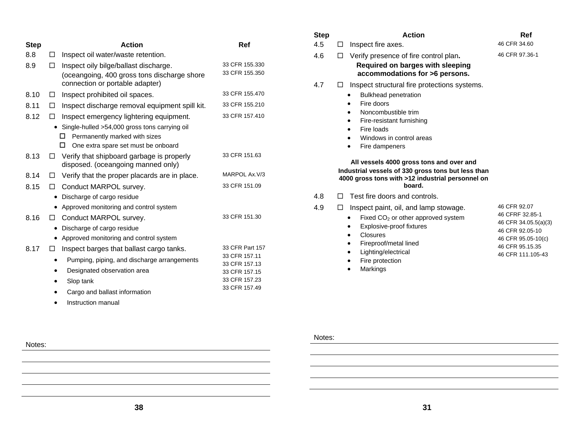| <b>Step</b> |   | <b>Action</b>                                                                        | Ref                              |
|-------------|---|--------------------------------------------------------------------------------------|----------------------------------|
| 8.8         | П | Inspect oil water/waste retention.                                                   |                                  |
| 8.9         | □ | Inspect oily bilge/ballast discharge.<br>(oceangoing, 400 gross tons discharge shore | 33 CFR 155.330<br>33 CFR 155.350 |
|             |   | connection or portable adapter)                                                      |                                  |
| 8.10        | □ | Inspect prohibited oil spaces.                                                       | 33 CFR 155.470                   |
| 8.11        | □ | Inspect discharge removal equipment spill kit.                                       | 33 CFR 155.210                   |
| 8.12        | П | Inspect emergency lightering equipment.                                              | 33 CFR 157.410                   |
|             |   | Single-hulled >54,000 gross tons carrying oil                                        |                                  |
|             |   | Permanently marked with sizes<br>□<br>П                                              |                                  |
|             |   | One extra spare set must be onboard                                                  | 33 CFR 151.63                    |
| 8.13        | □ | Verify that shipboard garbage is properly<br>disposed. (oceangoing manned only)      |                                  |
| 8.14        | □ | Verify that the proper placards are in place.                                        | MARPOL Ax.V/3                    |
| 8.15        | П | Conduct MARPOL survey.                                                               | 33 CFR 151.09                    |
|             |   | Discharge of cargo residue                                                           |                                  |
|             | ٠ | Approved monitoring and control system                                               |                                  |
| 8.16        | □ | Conduct MARPOL survey.                                                               | 33 CFR 151.30                    |
|             | ٠ | Discharge of cargo residue                                                           |                                  |
|             |   | Approved monitoring and control system                                               |                                  |
| 8.17        | □ | Inspect barges that ballast cargo tanks.                                             | 33 CFR Part 157                  |
|             |   | Pumping, piping, and discharge arrangements                                          | 33 CFR 157.11                    |
|             |   | Designated observation area                                                          | 33 CFR 157.13<br>33 CFR 157.15   |
|             |   | Slop tank                                                                            | 33 CFR 157.23                    |
|             |   | Cargo and ballast information                                                        | 33 CFR 157.49                    |

• Instruction manual

| <b>Step</b> | <b>Action</b>                                                                                                                                                                                                                                                                                                                                                                                    | Ref                                                                                                                                      |
|-------------|--------------------------------------------------------------------------------------------------------------------------------------------------------------------------------------------------------------------------------------------------------------------------------------------------------------------------------------------------------------------------------------------------|------------------------------------------------------------------------------------------------------------------------------------------|
| 4.5         | Inspect fire axes.<br>□                                                                                                                                                                                                                                                                                                                                                                          | 46 CFR 34.60                                                                                                                             |
| 4.6         | Verify presence of fire control plan.<br>П<br><b>Required on barges with sleeping</b><br>accommodations for >6 persons.                                                                                                                                                                                                                                                                          | 46 CFR 97.36-1                                                                                                                           |
| 4.7         | Inspect structural fire protections systems.<br>$\Box$<br><b>Bulkhead penetration</b><br>Fire doors<br>$\bullet$<br>Noncombustible trim<br>Fire-resistant furnishing<br>Fire loads<br>Windows in control areas<br>Fire dampeners<br>All vessels 4000 gross tons and over and<br>Industrial vessels of 330 gross tons but less than<br>4000 gross tons with >12 industrial personnel on<br>board. |                                                                                                                                          |
| 4.8         | Test fire doors and controls.<br>$\mathsf{L}$                                                                                                                                                                                                                                                                                                                                                    |                                                                                                                                          |
| 4.9         | Inspect paint, oil, and lamp stowage.<br>□<br>Fixed $CO2$ or other approved system<br>$\bullet$<br>Explosive-proof fixtures<br>Closures<br>$\bullet$<br>Fireproof/metal lined<br>Lighting/electrical<br>Fire protection                                                                                                                                                                          | 46 CFR 92.07<br>46 CFRF 32.85-1<br>46 CFR 34.05.5(a)(3)<br>46 CFR 92.05-10<br>46 CFR 95.05-10(c)<br>46 CFR 95.15.35<br>46 CFR 111.105-43 |

Notes:

•

Markings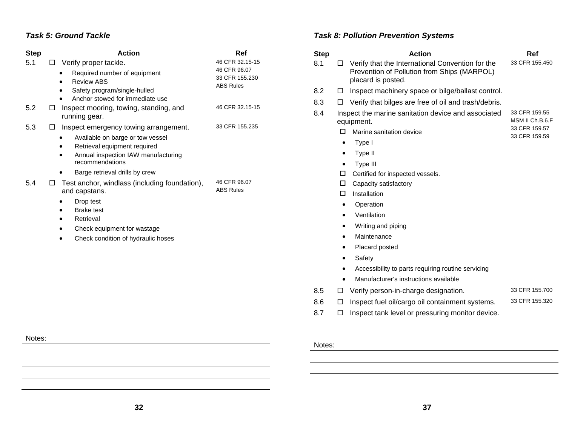#### *Task 5: Ground Tackle*

| <b>Step</b> | <b>Action</b>                                                                                                                                                                                              | <b>Ref</b>                                                            |
|-------------|------------------------------------------------------------------------------------------------------------------------------------------------------------------------------------------------------------|-----------------------------------------------------------------------|
| 5.1         | Verify proper tackle.<br>LI<br>Required number of equipment<br><b>Review ABS</b><br>Safety program/single-hulled<br>Anchor stowed for immediate use                                                        | 46 CFR 32.15-15<br>46 CFR 96.07<br>33 CFR 155.230<br><b>ABS Rules</b> |
| 5.2         | Inspect mooring, towing, standing, and<br>□<br>running gear.                                                                                                                                               | 46 CFR 32.15-15                                                       |
| 5.3         | Inspect emergency towing arrangement.<br>⊔<br>Available on barge or tow vessel<br>Retrieval equipment required<br>Annual inspection IAW manufacturing<br>recommendations<br>Barge retrieval drills by crew | 33 CFR 155.235                                                        |
| 5.4         | Test anchor, windlass (including foundation),<br>$\mathsf{L}$<br>and capstans.<br>Drop test<br><b>Brake test</b><br>Retrieval<br>Check equipment for wastage<br>Check condition of hydraulic hoses         | 46 CFR 96.07<br><b>ABS Rules</b>                                      |

### *Task 8: Pollution Prevention Systems*

| <b>Step</b> | <b>Action</b> |                                                                                                                       | Ref                                               |  |
|-------------|---------------|-----------------------------------------------------------------------------------------------------------------------|---------------------------------------------------|--|
| 8.1         | П.            | Verify that the International Convention for the<br>Prevention of Pollution from Ships (MARPOL)<br>placard is posted. | 33 CFR 155.450                                    |  |
| 8.2         | $\Box$        | Inspect machinery space or bilge/ballast control.                                                                     |                                                   |  |
| 8.3         | LI            | Verify that bilges are free of oil and trash/debris.                                                                  |                                                   |  |
| 8.4         |               | Inspect the marine sanitation device and associated<br>equipment.                                                     | 33 CFR 159.55<br>MSM II Ch.B.6.F<br>33 CFR 159.57 |  |
|             | п             | Marine sanitation device                                                                                              | 33 CFR 159.59                                     |  |
|             | ٠             | Type I                                                                                                                |                                                   |  |
|             | ٠             | Type II                                                                                                               |                                                   |  |
|             |               | Type III                                                                                                              |                                                   |  |
|             | □             | Certified for inspected vessels.                                                                                      |                                                   |  |
|             | □             | Capacity satisfactory                                                                                                 |                                                   |  |
|             | п             | Installation                                                                                                          |                                                   |  |
|             | $\bullet$     | Operation                                                                                                             |                                                   |  |
|             | $\bullet$     | Ventilation                                                                                                           |                                                   |  |
|             |               | Writing and piping                                                                                                    |                                                   |  |
|             |               | Maintenance                                                                                                           |                                                   |  |
|             |               | Placard posted                                                                                                        |                                                   |  |
|             |               | Safety                                                                                                                |                                                   |  |
|             |               | Accessibility to parts requiring routine servicing                                                                    |                                                   |  |
|             |               | Manufacturer's instructions available                                                                                 |                                                   |  |
| 8.5         | □             | Verify person-in-charge designation.                                                                                  | 33 CFR 155.700                                    |  |
| 8.6         | □             | Inspect fuel oil/cargo oil containment systems.                                                                       | 33 CFR 155.320                                    |  |
| 8.7         | П             | Inspect tank level or pressuring monitor device.                                                                      |                                                   |  |

### Notes: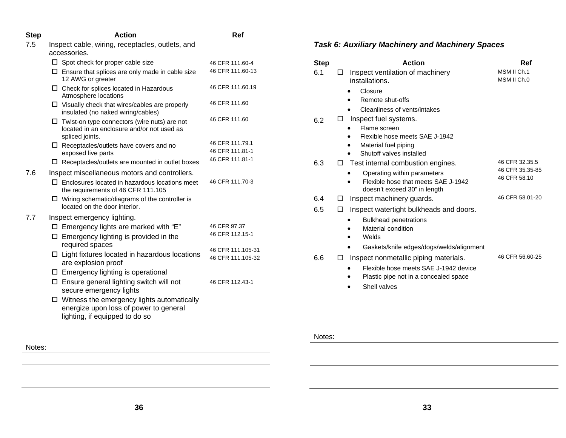| <b>Step</b> | <b>Action</b>                                                                                                                 | Ref                                    |
|-------------|-------------------------------------------------------------------------------------------------------------------------------|----------------------------------------|
| 7.5         | Inspect cable, wiring, receptacles, outlets, and<br>accessories.                                                              |                                        |
|             | $\Box$ Spot check for proper cable size                                                                                       | 46 CFR 111.60-4                        |
|             | $\Box$ Ensure that splices are only made in cable size<br>12 AWG or greater                                                   | 46 CFR 111.60-13                       |
|             | $\Box$ Check for splices located in Hazardous<br>Atmosphere locations                                                         | 46 CFR 111.60.19                       |
|             | $\Box$ Visually check that wires/cables are properly<br>insulated (no naked wiring/cables)                                    | 46 CFR 111.60                          |
|             | $\Box$ Twist-on type connectors (wire nuts) are not<br>located in an enclosure and/or not used as<br>spliced joints.          | 46 CFR 111.60                          |
|             | $\Box$ Receptacles/outlets have covers and no<br>exposed live parts                                                           | 46 CFR 111.79.1<br>46 CFR 111.81-1     |
|             | $\Box$ Receptacles/outlets are mounted in outlet boxes                                                                        | 46 CFR 111.81-1                        |
| 7.6         | Inspect miscellaneous motors and controllers.                                                                                 |                                        |
|             | $\Box$ Enclosures located in hazardous locations meet<br>the requirements of 46 CFR 111.105                                   | 46 CFR 111.70-3                        |
|             | $\Box$ Wiring schematic/diagrams of the controller is<br>located on the door interior.                                        |                                        |
| 7.7         | Inspect emergency lighting.                                                                                                   |                                        |
|             | $\Box$ Emergency lights are marked with "E"                                                                                   | 46 CFR 97.37                           |
|             | Emergency lighting is provided in the<br>□<br>required spaces                                                                 | 46 CFR 112.15-1                        |
|             | $\Box$ Light fixtures located in hazardous locations<br>are explosion proof                                                   | 46 CFR 111.105-31<br>46 CFR 111.105-32 |
|             | $\square$ Emergency lighting is operational                                                                                   |                                        |
|             | □ Ensure general lighting switch will not<br>secure emergency lights                                                          | 46 CFR 112.43-1                        |
|             | $\Box$ Witness the emergency lights automatically<br>energize upon loss of power to general<br>lighting, if equipped to do so |                                        |

| <b>Step</b> | <b>Action</b>                                                                                      | Ref                        |
|-------------|----------------------------------------------------------------------------------------------------|----------------------------|
| 6.1         | Inspect ventilation of machinery<br>$\perp$<br>installations.                                      | MSM II Ch.1<br>MSM II Ch.0 |
|             | Closure                                                                                            |                            |
|             | Remote shut-offs                                                                                   |                            |
|             | Cleanliness of vents/intakes                                                                       |                            |
| 6.2         | Inspect fuel systems.<br>□                                                                         |                            |
|             | Flame screen                                                                                       |                            |
|             | Flexible hose meets SAE J-1942                                                                     |                            |
|             | Material fuel piping<br>Shutoff valves installed                                                   |                            |
| 6.3         | Test internal combustion engines.<br>$\Box$                                                        | 46 CFR 32.35.5             |
|             |                                                                                                    | 46 CFR 35.35-85            |
|             | Operating within parameters<br>Flexible hose that meets SAE J-1942<br>doesn't exceed 30" in length | 46 CFR 58.10               |
| 6.4         | Inspect machinery guards.<br>П                                                                     | 46 CFR 58.01-20            |
| 6.5         | Inspect watertight bulkheads and doors.<br>П                                                       |                            |
|             | <b>Bulkhead penetrations</b>                                                                       |                            |
|             | Material condition                                                                                 |                            |
|             | Welds                                                                                              |                            |
|             | Gaskets/knife edges/dogs/welds/alignment                                                           |                            |
| 6.6         | Inspect nonmetallic piping materials.<br>□                                                         | 46 CFR 56.60-25            |
|             | Flexible hose meets SAE J-1942 device                                                              |                            |
|             | Plastic pipe not in a concealed space                                                              |                            |
|             | Shell valves                                                                                       |                            |

#### **36**